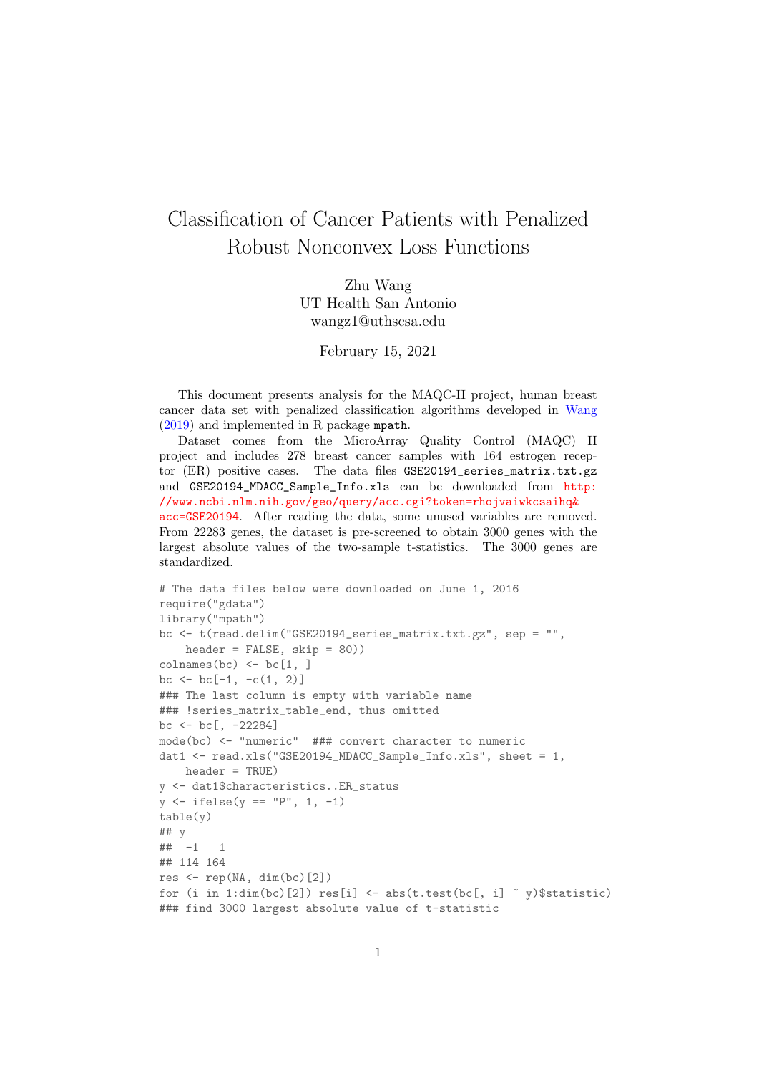# Classification of Cancer Patients with Penalized Robust Nonconvex Loss Functions

Zhu Wang UT Health San Antonio wangz1@uthscsa.edu

February 15, 2021

This document presents analysis for the MAQC-II project, human breast cancer data set with penalized classification algorithms developed in [Wang](#page-29-0) [\(2019\)](#page-29-0) and implemented in R package mpath.

Dataset comes from the MicroArray Quality Control (MAQC) II project and includes 278 breast cancer samples with 164 estrogen receptor (ER) positive cases. The data files GSE20194\_series\_matrix.txt.gz and GSE20194\_MDACC\_Sample\_Info.xls can be downloaded from [http:](http://www.ncbi.nlm.nih.gov/geo/query/acc.cgi?token=rhojvaiwkcsaihq&acc=GSE20194) [//www.ncbi.nlm.nih.gov/geo/query/acc.cgi?token=rhojvaiwkcsaihq&](http://www.ncbi.nlm.nih.gov/geo/query/acc.cgi?token=rhojvaiwkcsaihq&acc=GSE20194) [acc=GSE20194](http://www.ncbi.nlm.nih.gov/geo/query/acc.cgi?token=rhojvaiwkcsaihq&acc=GSE20194). After reading the data, some unused variables are removed. From 22283 genes, the dataset is pre-screened to obtain 3000 genes with the largest absolute values of the two-sample t-statistics. The 3000 genes are standardized.

```
# The data files below were downloaded on June 1, 2016
require("gdata")
library("mpath")
bc <- t(read.delim("GSE20194_series_matrix.txt.gz", sep = "",
    header = FALSE, skip = 80)\text{colnames}(\text{bc}) \leftarrow \text{bc}[1, ]bc \leftarrow bc[-1, -c(1, 2)]### The last column is empty with variable name
### !series_matrix_table_end, thus omitted
bc \leftarrow bc[, -22284]
mode(bc) <- "numeric" ### convert character to numeric
dat1 <- read.xls("GSE20194_MDACC_Sample_Info.xls", sheet = 1,
    header = TRUE)
y <- dat1$characteristics..ER_status
y \leftarrow ifelse(y == "P", 1, -1)
table(y)
## y
## -1 1
## 114 164
res <- rep(NA, dim(bc)[2])
for (i in 1:dim(bc)[2]) res[i] <- abs(t.test(bc[, i] \tilde{ } y)$statistic)
### find 3000 largest absolute value of t-statistic
```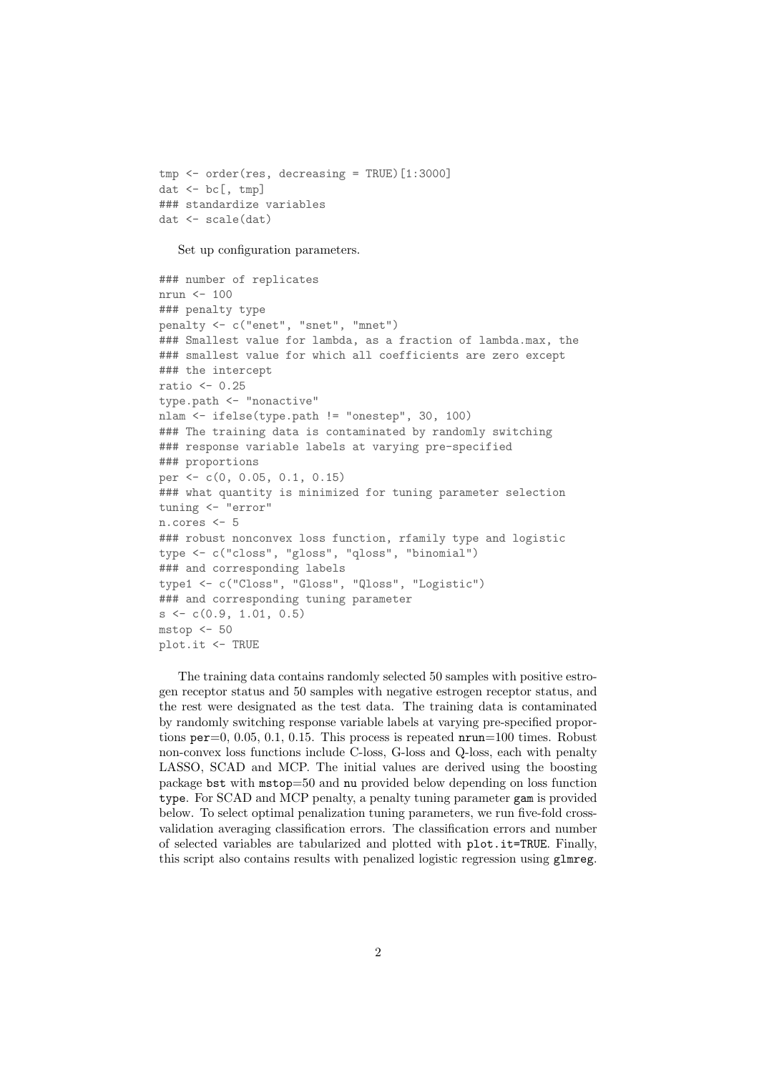```
tmp <- order(res, decreasing = TRUE)[1:3000]
dat \leftarrow bc[, tmp]
### standardize variables
dat <- scale(dat)
```
Set up configuration parameters.

```
### number of replicates
nrun <- 100
### penalty type
penalty <- c("enet", "snet", "mnet")
### Smallest value for lambda, as a fraction of lambda.max, the
### smallest value for which all coefficients are zero except
### the intercept
ratio <- 0.25
type.path <- "nonactive"
nlam <- ifelse(type.path != "onestep", 30, 100)
### The training data is contaminated by randomly switching
### response variable labels at varying pre-specified
### proportions
per <- c(0, 0.05, 0.1, 0.15)
### what quantity is minimized for tuning parameter selection
tuning <- "error"
n.cores <- 5
### robust nonconvex loss function, rfamily type and logistic
type <- c("closs", "gloss", "qloss", "binomial")
### and corresponding labels
type1 <- c("Closs", "Gloss", "Qloss", "Logistic")
### and corresponding tuning parameter
s \leftarrow c(0.9, 1.01, 0.5)mstop \leftarrow 50plot.it <- TRUE
```
The training data contains randomly selected 50 samples with positive estrogen receptor status and 50 samples with negative estrogen receptor status, and the rest were designated as the test data. The training data is contaminated by randomly switching response variable labels at varying pre-specified proportions  $per=0$ , 0.05, 0.1, 0.15. This process is repeated  $nrun=100$  times. Robust non-convex loss functions include C-loss, G-loss and Q-loss, each with penalty LASSO, SCAD and MCP. The initial values are derived using the boosting package bst with mstop=50 and nu provided below depending on loss function type. For SCAD and MCP penalty, a penalty tuning parameter gam is provided below. To select optimal penalization tuning parameters, we run five-fold crossvalidation averaging classification errors. The classification errors and number of selected variables are tabularized and plotted with plot.it=TRUE. Finally, this script also contains results with penalized logistic regression using glmreg.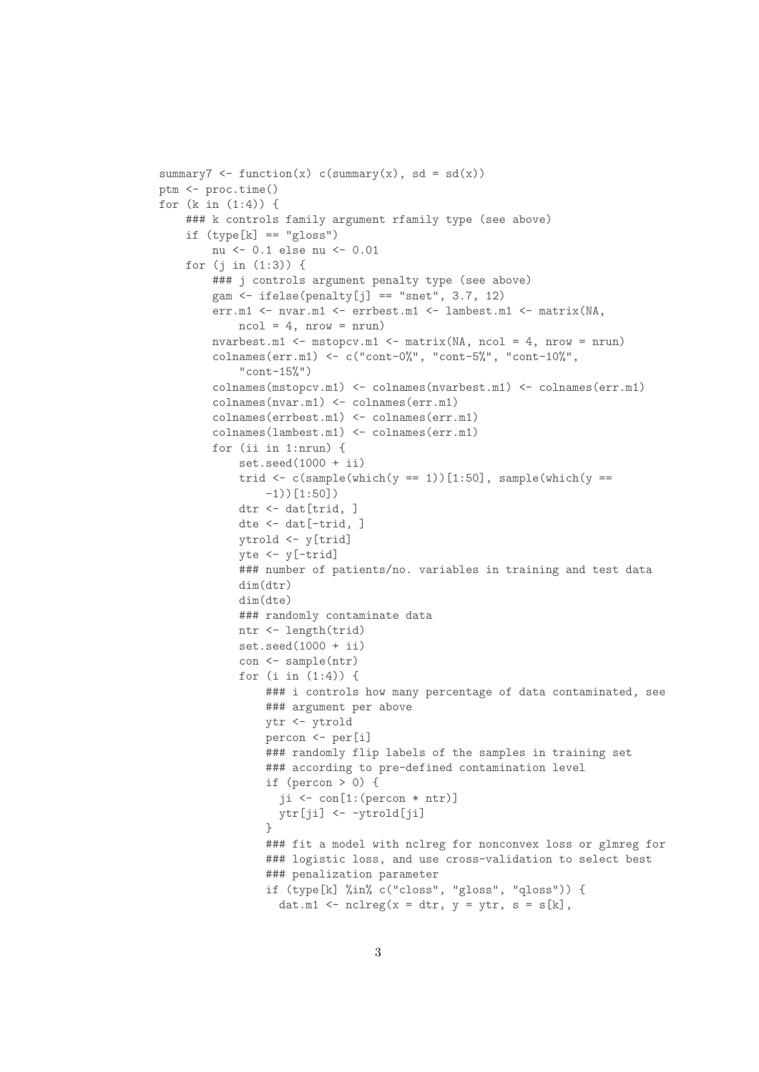```
summary7 \leq function(x) c(summary(x), sd = sd(x))
ptm <- proc.time()
for (k in (1:4)) {
    ### k controls family argument rfamily type (see above)
    if (type[k] == "gloss")nu <- 0.1 else nu <- 0.01
    for (j in (1:3)) {
        ### j controls argument penalty type (see above)
        gam \le ifelse(penalty[j] == "snet", 3.7, 12)
        err.m1 <- nvar.m1 <- errbest.m1 <- lambest.m1 <- matrix(NA,
           ncol = 4, nrow = nrunnvarbest.m1 <- mstopcv.m1 <- matrix(NA, ncol = 4, nrow = nrun)
        colnames(err.m1) <- c("cont-0%", "cont-5%", "cont-10%",
            "cont-15\"
        colnames(mstopcv.m1) <- colnames(nvarbest.m1) <- colnames(err.m1)
        colnames(nvar.m1) <- colnames(err.m1)
        colnames(errbest.m1) <- colnames(err.m1)
        colnames(lambest.m1) <- colnames(err.m1)
        for (ii in 1:nrun) {
            set.seed(1000 + ii)
            trid \leq c(sample(which(y == 1))[1:50], sample(which(y ==
                -1))[1:50])
            dtr <- dat[trid, ]
            dte <- dat[-trid, ]
            ytrold <- y[trid]
            yte <- y[-trid]
            ### number of patients/no. variables in training and test data
            dim(dtr)
            dim(dte)
            ### randomly contaminate data
            ntr <- length(trid)
            set.seed(1000 + ii)
            con <- sample(ntr)
            for (i in (1:4)) {
                ### i controls how many percentage of data contaminated, see
                ### argument per above
                ytr <- ytrold
                percon <- per[i]
                ### randomly flip labels of the samples in training set
                ### according to pre-defined contamination level
                if (percon > 0) {
                  ji <- con[1:(percon * ntr)]
                  ytr[ji] <- -ytrold[ji]
                }
                ### fit a model with nclreg for nonconvex loss or glmreg for
                ### logistic loss, and use cross-validation to select best
                ### penalization parameter
                if (type[k] %in% c("closs", "gloss", "qloss")) {
                  dat.m1 <- nclreg(x = dtr, y = ytr, s = s[k],
```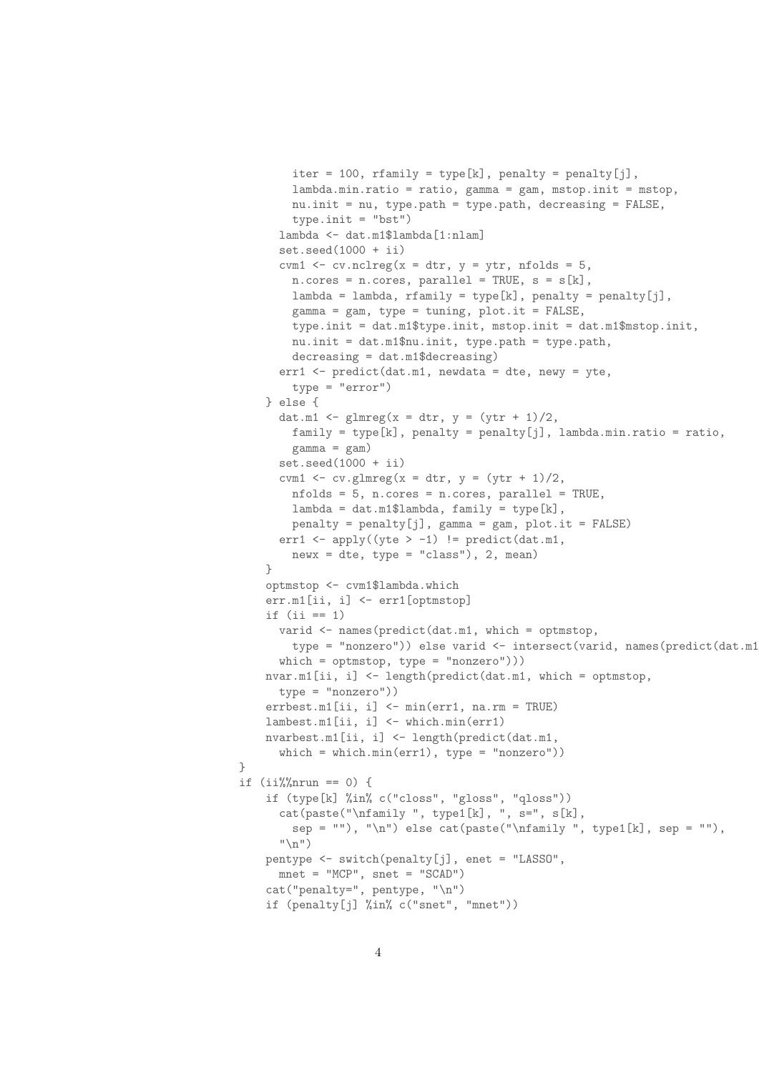```
iter = 100, rfamily = type[k], penalty = penalty[j],
        lambda.min.ratio = ratio, gamma = gam, mstop.init = mstop,
        nu.init = nu, type.path = type.path, decreasing = FALSE,
        type.init = "bst")lambda <- dat.m1$lambda[1:nlam]
      set.seed(1000 + ii)
      cvm1 \leftarrow cv.nclreg(x = dtr, y = ytr, nfolds = 5,
        n.corees = n.corees, parallel = TRUE, s = s[k],
        lambda = lambda, rfamily = type[k], penalty = penalty[j],
        gamma = gamma = gam, type = tuning, plot.it = FALSE,
        type.init = dat.m1$type.init, mstop.init = dat.m1$mstop.init,
        nu.init = dat.m1$nu.init, type.path = type.path,
        decreasing = dat.m1$decreasing)
      err1 <- predict(dat.m1, newdata = dte, newy = yte,
       type = "error")
    } else {
      dat.m1 <- glmreg(x = dtr, y = (ytr + 1)/2,family = type[k], penalty = penalty[j], lambda.min.ratio = ratio,
        gamma = gamma)
      set.seed(1000 + ii)cvm1 <- cv.glmreg(x = dtr, y = (ytr + 1)/2,
        nfolds = 5, n.corees = n.corees, parallel = TRUE,
       lambda = dat.m1$lambda, family = type[k],penalty = penalty[j], gamma = gam, plot.it = FALSE)
      err1 <- apply((yte > -1) != predict(dat.m1,
       newx = dte, type = "class"), 2, mean)}
   optmstop <- cvm1$lambda.which
    err.m1[ii, i] <- err1[optmstop]
   if (ii == 1)varid <- names(predict(dat.m1, which = optmstop,
       type = "nonzero")) else varid <- intersect(varid, names(predict(dat.m1,
      which = optmstop, type = "nonzero")))
   nvar.m1[ii, i] <- length(predict(dat.m1, which = optmstop,
      type = "nonzero"))
    errbest.m1[ii, i] <- min(err1, na.rm = TRUE)
    lambest.m1[ii, i] <- which.min(err1)
   nvarbest.m1[ii, i] <- length(predict(dat.m1,
      which = which.min(err1), type = "nonzero"))
}
if (ii\%nrun == 0) {
    if (type[k] %in% c("closs", "gloss", "qloss"))
      cat(paste("\nfamily ", type1[k], ", s=", s[k],
        sep = ""), "\n") else cat(paste("\nfamily ", type1[k], sep = ""),
      "\n")
    pentype <- switch(penalty[j], enet = "LASSO",
      mnet = "MCP", snet = "SCAD")cat("penalty=", pentype, "\\n")if (penalty[j] %in% c("snet", "mnet"))
```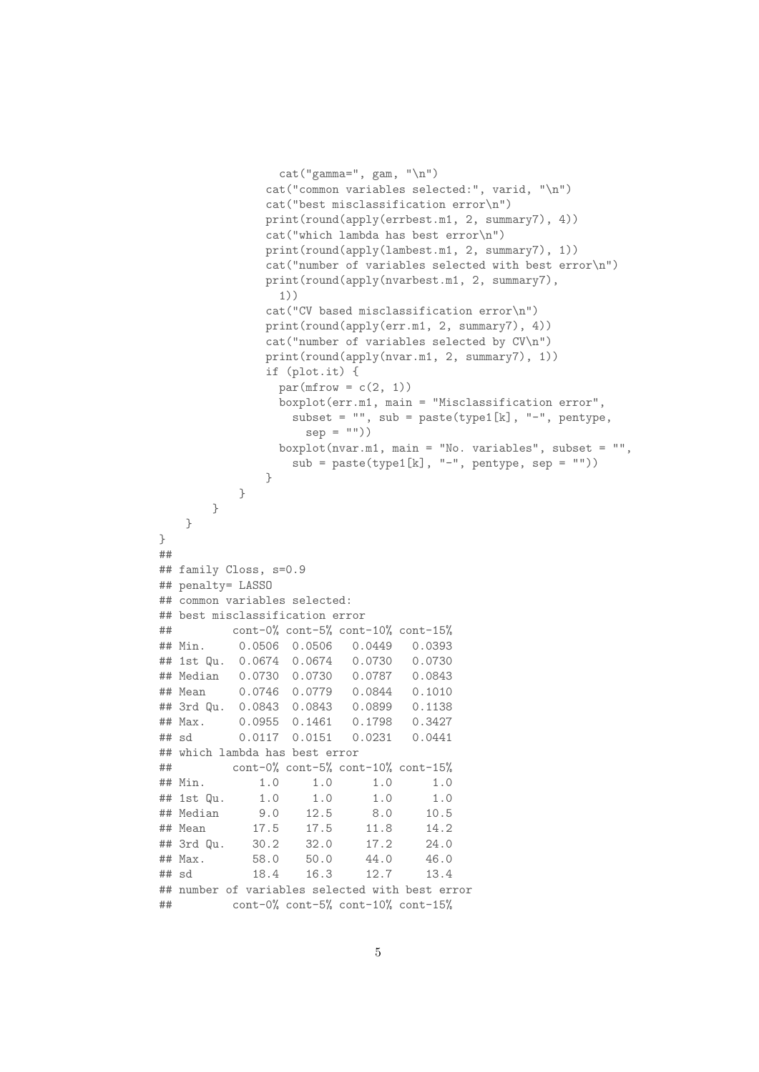```
cat("gamma=", gam, "\\n")cat("common variables selected:", varid, "\n")
              cat("best misclassification error\n")
              print(round(apply(errbest.m1, 2, summary7), 4))
              cat("which lambda has best error\n")
              print(round(apply(lambest.m1, 2, summary7), 1))
              cat("number of variables selected with best error\n")
              print(round(apply(nvarbest.m1, 2, summary7),
               1))
              cat("CV based misclassification error\n")
              print(round(apply(err.m1, 2, summary7), 4))
              cat("number of variables selected by CV\n")
              print(round(apply(nvar.m1, 2, summary7), 1))
              if (plot.it) {
               par(mfrow = c(2, 1))boxplot(err.m1, main = "Misclassification error",
                 subset = ", sub = paste(type1[k], "-", pentype,
                   sep = "")boxplot(nvar.m1, main = "No. variables", subset = "",sub = paste(type1[k], "-", pentype, sep = ""))}
          }
       }
   }
}
### family Closs, s=0.9
## penalty= LASSO
## common variables selected:
## best misclassification error
## cont-0% cont-5% cont-10% cont-15%
## Min. 0.0506 0.0506 0.0449 0.0393
## 1st Qu. 0.0674 0.0674 0.0730 0.0730
## Median 0.0730 0.0730 0.0787 0.0843
## Mean 0.0746 0.0779 0.0844 0.1010
## 3rd Qu. 0.0843 0.0843 0.0899 0.1138
## Max. 0.0955 0.1461 0.1798 0.3427
## sd 0.0117 0.0151 0.0231 0.0441
## which lambda has best error
## cont-0% cont-5% cont-10% cont-15%
## Min. 1.0 1.0 1.0 1.0
## 1st Qu. 1.0 1.0 1.0 1.0
## Median 9.0 12.5 8.0 10.5
## Mean 17.5 17.5 11.8 14.2
## 3rd Qu. 30.2 32.0 17.2 24.0
## Max. 58.0 50.0 44.0 46.0
## sd 18.4 16.3 12.7 13.4
## number of variables selected with best error
## cont-0% cont-5% cont-10% cont-15%
```

```
5
```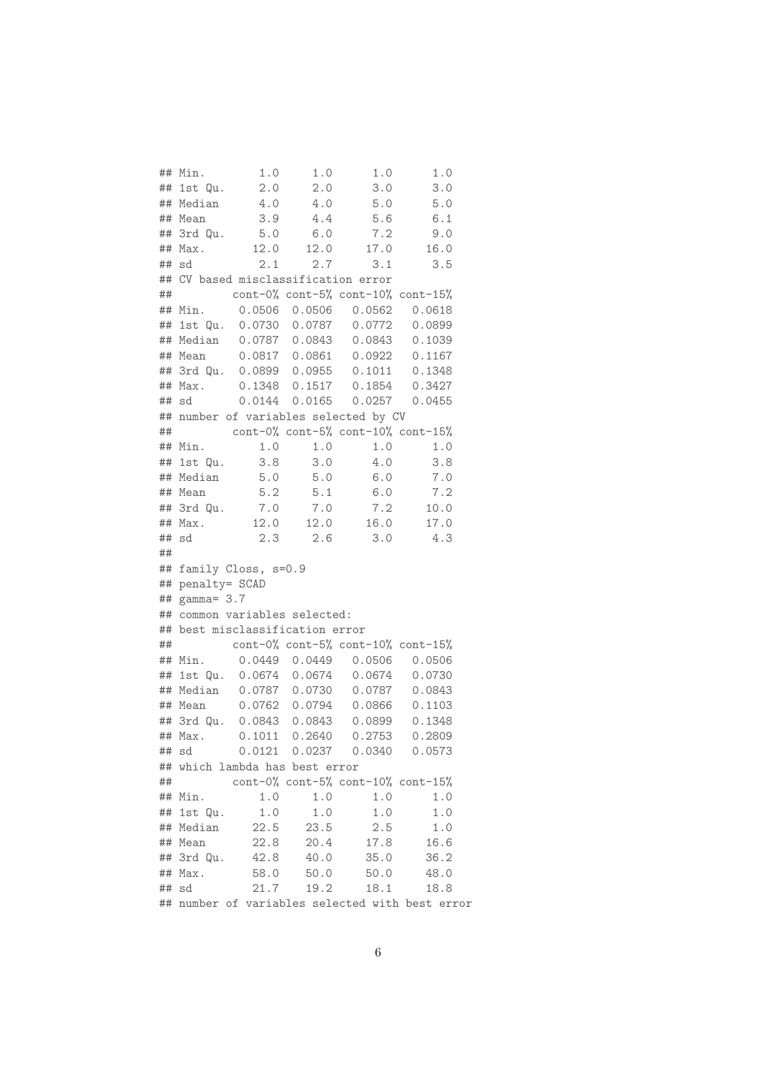|    | ## Min.                         | 1.0 | 1.0             | 1.0                                              | 1.0                                             |
|----|---------------------------------|-----|-----------------|--------------------------------------------------|-------------------------------------------------|
|    | ## 1st Qu. 2.0 2.0              |     |                 | 3.0                                              | 3.0                                             |
|    | ## Median                       |     | $4.0$ $4.0$     | 5.0                                              | 5.0                                             |
|    | ## Mean                         |     | $3.9 \t4.4$     | 5.6                                              | 6.1                                             |
|    | ## 3rd Qu. 5.0 6.0              |     |                 | 7.2                                              | 9.0                                             |
|    |                                 |     |                 |                                                  | 16.0                                            |
|    | ## sd                           |     | $2.1$ $2.7$     | 3.1                                              | 3.5                                             |
|    |                                 |     |                 | ## CV based misclassification error              |                                                 |
| ## |                                 |     |                 | $cont-0\%$ cont-5 $\%$ cont-10 $\%$ cont-15 $\%$ |                                                 |
|    |                                 |     |                 | ## Min. 0.0506 0.0506 0.0562 0.0618              |                                                 |
|    |                                 |     |                 | ## 1st Qu. 0.0730 0.0787 0.0772 0.0899           |                                                 |
|    |                                 |     |                 | ## Median 0.0787 0.0843 0.0843 0.1039            |                                                 |
|    |                                 |     |                 | ## Mean 0.0817 0.0861 0.0922 0.1167              |                                                 |
|    |                                 |     |                 | ## 3rd Qu. 0.0899 0.0955 0.1011 0.1348           |                                                 |
|    |                                 |     |                 | ## Max. 0.1348 0.1517 0.1854 0.3427              |                                                 |
|    |                                 |     |                 | ## sd 0.0144 0.0165 0.0257 0.0455                |                                                 |
|    |                                 |     |                 | ## number of variables selected by CV            |                                                 |
|    | <b>##</b>                       |     |                 | $cont-0$ % $cont-5$ % $cont-10$ % $cont-15$ %    |                                                 |
|    | ## Min.                         |     | $1.0$ $1.0$     | 1.0                                              | 1.0                                             |
|    | ## 1st Qu. 3.8 3.0              |     |                 |                                                  | 3.8<br>4.0                                      |
|    |                                 |     |                 | ## Median 5.0 5.0 6.0                            | 7.0                                             |
|    | ## Mean                         |     |                 | $5.2$ $5.1$ $6.0$ $7.2$                          |                                                 |
|    |                                 |     |                 | ## 3rd Qu. 7.0 7.0 7.2                           | 10.0                                            |
|    | ## Max.                         |     |                 | 12.0 12.0 16.0                                   | 17.0                                            |
|    | $##$ sd                         |     | $2.3\qquad 2.6$ | 3.0                                              | 4.3                                             |
| ## |                                 |     |                 |                                                  |                                                 |
|    | ## family Closs, s=0.9          |     |                 |                                                  |                                                 |
|    | ## penalty= SCAD                |     |                 |                                                  |                                                 |
|    | $\#$ # gamma= 3.7               |     |                 |                                                  |                                                 |
|    | ## common variables selected:   |     |                 |                                                  |                                                 |
|    | ## best misclassification error |     |                 |                                                  |                                                 |
| ## |                                 |     |                 | $cont-0$ % $cont-5$ % $cont-10$ % $cont-15$ %    |                                                 |
|    | ## Min.                         |     |                 | 0.0449  0.0449  0.0506  0.0506                   |                                                 |
|    |                                 |     |                 | ## 1st Qu. 0.0674 0.0674 0.0674 0.0730           |                                                 |
|    |                                 |     |                 | ## Median  0.0787  0.0730  0.0787  0.0843        |                                                 |
|    | ## Mean                         |     |                 | 0.0762  0.0794  0.0866  0.1103                   |                                                 |
|    |                                 |     |                 | ## 3rd Qu. 0.0843 0.0843 0.0899 0.1348           |                                                 |
|    |                                 |     |                 | ## Max. 0.1011 0.2640 0.2753 0.2809              |                                                 |
|    | ## sd                           |     |                 | 0.0121  0.0237  0.0340  0.0573                   |                                                 |
|    | ## which lambda has best error  |     |                 |                                                  |                                                 |
| ## |                                 |     |                 | $cont-0\%$ cont-5% cont-10% cont-15%             |                                                 |
|    | ## Min.                         |     | $1.0$ $1.0$     | 1.0                                              | 1.0                                             |
|    | ## 1st Qu. 1.0 1.0              |     |                 |                                                  | 1.0<br>1.0                                      |
|    |                                 |     |                 | ## Median 22.5 23.5 2.5                          | 1.0                                             |
|    | ## Mean                         |     |                 | 22.8 20.4 17.8 16.6                              |                                                 |
|    |                                 |     |                 | ## 3rd Qu. 42.8 40.0 35.0                        | 36.2                                            |
|    | ## Max.                         |     |                 | 58.0 50.0 50.0 48.0                              |                                                 |
|    | ## sd                           |     |                 | 21.7 19.2 18.1                                   | 18.8                                            |
|    |                                 |     |                 |                                                  | ## number of variables selected with best error |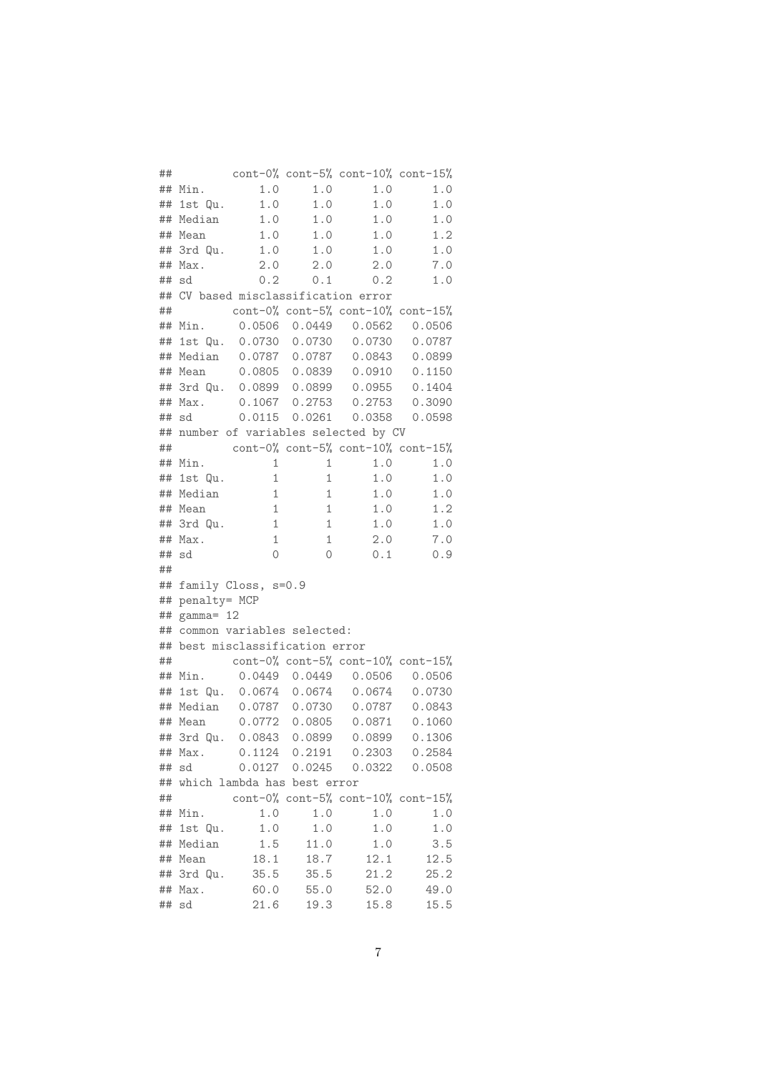| ## |              |                                 |                        | $\text{cont-0\%}$ cont-5% cont-10% cont-15%   |             |
|----|--------------|---------------------------------|------------------------|-----------------------------------------------|-------------|
|    | ## Min.      |                                 | 1.0 1.0                |                                               | 1.0<br>1.0  |
|    |              | ## 1st Qu. 1.0 1.0              |                        |                                               | 1.0<br>1.0  |
|    |              | ## Median 1.0 1.0               |                        | 1.0                                           | 1.0         |
|    | ## Mean      | $1.0$ $1.0$                     |                        |                                               | 1.0<br>1.2  |
|    |              | ## 3rd Qu. 1.0 1.0              |                        |                                               | $1.0$ $1.0$ |
|    |              |                                 |                        | ## Max. 2.0 2.0 2.0 7.0                       |             |
| ## | sd           |                                 | $0.2 \t 0.1$           | 0.2                                           | 1.0         |
|    |              |                                 |                        | ## CV based misclassification error           |             |
| ## |              |                                 |                        | $cont-0$ % $cont-5$ % $cont-10$ % $cont-15$ % |             |
|    |              |                                 |                        | ## Min. 0.0506 0.0449 0.0562 0.0506           |             |
|    |              |                                 |                        | ## 1st Qu. 0.0730 0.0730 0.0730 0.0787        |             |
|    |              |                                 |                        | ## Median  0.0787  0.0787  0.0843  0.0899     |             |
|    | ## Mean      |                                 |                        | 0.0805 0.0839 0.0910 0.1150                   |             |
|    |              |                                 |                        | ## 3rd Qu. 0.0899 0.0899 0.0955 0.1404        |             |
|    | ## Max.      |                                 |                        | 0.1067 0.2753 0.2753 0.3090                   |             |
|    | $\#$ # sd    |                                 |                        | 0.0115  0.0261  0.0358  0.0598                |             |
|    |              |                                 |                        | ## number of variables selected by CV         |             |
| ## |              |                                 |                        | cont-0% cont-5% cont-10% cont-15%             |             |
|    | ## Min.      | $\mathbf{1}$                    |                        | $1 \quad \blacksquare$                        | 1.0<br>1.0  |
|    | ## 1st Qu.   | $\mathbf{1}$                    |                        | $1 \qquad \qquad$                             | 1.0<br>1.0  |
|    | ## Median    |                                 | $1 \quad \cdots$       | $1 \quad \blacksquare$                        | 1.0<br>1.0  |
|    | ## Mean      |                                 | $1 \qquad \qquad$      | $1 \quad 1.0$                                 | 1.2         |
|    | ## 3rd Qu.   |                                 | $1 \quad \blacksquare$ | $1 \t 1.0 \t 1.0$                             |             |
|    | ## Max.      | 1                               |                        | $1 \quad$                                     | 2.0 7.0     |
| ## | sd           | $\circ$                         | $\Omega$               | 0.1                                           | 0.9         |
| ## |              |                                 |                        |                                               |             |
|    |              | ## family Closs, s=0.9          |                        |                                               |             |
| ## | penalty= MCP |                                 |                        |                                               |             |
| ## | gamma= 12    |                                 |                        |                                               |             |
| ## |              | common variables selected:      |                        |                                               |             |
|    |              | ## best misclassification error |                        |                                               |             |
| ## |              |                                 |                        | $cont-0\%$ cont-5% cont-10% cont-15%          |             |
|    |              |                                 |                        | ## Min. 0.0449 0.0449 0.0506 0.0506           |             |
|    |              |                                 |                        | ## 1st Qu. 0.0674 0.0674 0.0674 0.0730        |             |
| ## |              |                                 |                        | Median  0.0787  0.0730  0.0787  0.0843        |             |
| ## | Mean         |                                 |                        | 0.0772 0.0805 0.0871                          | 0.1060      |
|    |              |                                 |                        | ## 3rd Qu. 0.0843 0.0899 0.0899               | 0.1306      |
|    | ## Max.      |                                 |                        | $0.1124$ $0.2191$ $0.2303$                    | 0.2584      |
| ## | sd           |                                 |                        | $0.0127$ $0.0245$ $0.0322$ $0.0508$           |             |
| ## |              | which lambda has best error     |                        |                                               |             |
| ## |              |                                 |                        | $cont-0$ % $cont-5$ % $cont-10$ % $cont-15$ % |             |
| ## | Min.         | 1.0                             | 1.0                    | 1.0                                           | 1.0         |
| ## | 1st Qu.      | 1.0                             | 1.0                    | 1.0                                           | 1.0         |
| ## | Median       | 1.5                             | 11.0                   | 1.0                                           | 3.5         |
| ## | Mean         | 18.1                            | 18.7                   | 12.1                                          | 12.5        |
| ## | 3rd Qu.      | 35.5                            | 35.5                   | 21.2                                          | 25.2        |
| ## | Max.         | 60.0                            | 55.0                   | 52.0                                          | 49.0        |
|    |              | 21.6                            | 19.3                   | 15.8                                          | 15.5        |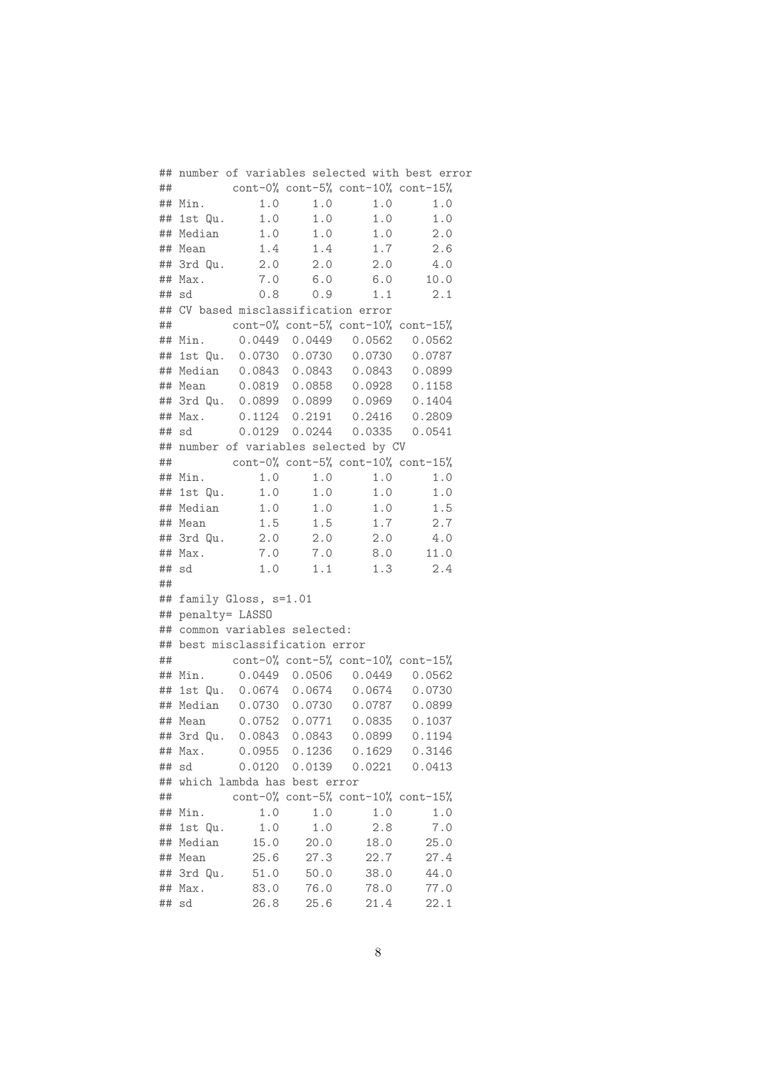|    |                         |      |                                 |                                               | ## number of variables selected with best error |
|----|-------------------------|------|---------------------------------|-----------------------------------------------|-------------------------------------------------|
| ## |                         |      |                                 | $cont-0$ % $cont-5$ % $cont-10$ % $cont-15$ % |                                                 |
|    | ## Min.                 |      | $1.0 \t 1.0$                    | 1.0                                           | 1.0                                             |
|    | ## 1st Qu.              | 1.0  | 1.0                             | 1.0                                           | 1.0                                             |
|    | ## Median               | 1.0  | 1.0                             | 1.0                                           | 2.0                                             |
|    | ## Mean                 | 1.4  | 1.4                             | 1.7                                           | 2.6                                             |
|    | ## 3rd Qu.              | 2.0  | 2.0                             | 2.0                                           | 4.0                                             |
|    | ## Max.                 | 7.0  | 6.0                             | 6.0                                           | 10.0                                            |
|    | ## sd                   | 0.8  | 0.9                             | 1.1                                           | 2.1                                             |
|    |                         |      |                                 | ## CV based misclassification error           |                                                 |
| ## |                         |      |                                 | $cont-0$ % $cont-5$ % $cont-10$ % $cont-15$ % |                                                 |
|    | ## Min.                 |      |                                 | 0.0449  0.0449  0.0562  0.0562                |                                                 |
|    |                         |      |                                 | ## 1st Qu. 0.0730 0.0730 0.0730 0.0787        |                                                 |
|    |                         |      |                                 | ## Median 0.0843 0.0843 0.0843 0.0899         |                                                 |
|    |                         |      |                                 | ## Mean 0.0819 0.0858 0.0928 0.1158           |                                                 |
|    |                         |      |                                 | ## 3rd Qu. 0.0899 0.0899 0.0969 0.1404        |                                                 |
|    |                         |      |                                 | ## Max. 0.1124 0.2191 0.2416 0.2809           |                                                 |
|    | ## sd                   |      |                                 | 0.0129 0.0244 0.0335 0.0541                   |                                                 |
|    |                         |      |                                 | ## number of variables selected by CV         |                                                 |
| ## |                         |      |                                 | $cont-0$ % $cont-5$ % $cont-10$ % $cont-15$ % |                                                 |
|    | ## Min.                 | 1.0  |                                 | 1.0<br>1.0                                    | 1.0                                             |
|    | ## 1st Qu.              | 1.0  | 1.0                             | 1.0                                           | 1.0                                             |
|    | ## Median               | 1.0  | 1.0                             | 1.0                                           | 1.5                                             |
|    |                         | 1.5  | 1.5                             | 1.7                                           | 2.7                                             |
|    | ## Mean                 | 2.0  |                                 |                                               |                                                 |
|    | ## 3rd Qu.              |      | 2.0                             | 2.0                                           | 4.0                                             |
|    | ## Max.                 | 7.0  | 7.0                             | 8.0                                           | 11.0                                            |
|    | $##$ sd                 | 1.0  | 1.1                             | 1.3                                           | 2.4                                             |
| ## |                         |      |                                 |                                               |                                                 |
|    | ## family Gloss, s=1.01 |      |                                 |                                               |                                                 |
|    | ## penalty= LASSO       |      |                                 |                                               |                                                 |
|    |                         |      | ## common variables selected:   |                                               |                                                 |
|    |                         |      | ## best misclassification error |                                               |                                                 |
| ## |                         |      |                                 | $cont-0$ % $cont-5$ % $cont-10$ % $cont-15$ % |                                                 |
|    |                         |      |                                 | ## Min.  0.0449  0.0506  0.0449  0.0562       |                                                 |
|    |                         |      |                                 | ## 1st Qu. 0.0674 0.0674 0.0674 0.0730        |                                                 |
|    |                         |      |                                 | ## Median 0.0730 0.0730 0.0787 0.0899         |                                                 |
|    |                         |      |                                 | ## Mean 0.0752 0.0771 0.0835 0.1037           |                                                 |
|    |                         |      |                                 | ## 3rd Qu. 0.0843 0.0843 0.0899 0.1194        |                                                 |
|    |                         |      |                                 | ## Max. 0.0955 0.1236 0.1629 0.3146           |                                                 |
|    |                         |      |                                 |                                               |                                                 |
|    |                         |      | ## which lambda has best error  |                                               |                                                 |
|    |                         |      |                                 | ## cont-0% cont-5% cont-10% cont-15%          |                                                 |
|    | ## Min.                 | 1.0  |                                 | 1.0<br>1.0                                    | 1.0                                             |
|    |                         |      |                                 | ## 1st Qu. 1.0 1.0 2.8                        | 7.0                                             |
|    |                         |      |                                 | ## Median 15.0 20.0 18.0 25.0                 |                                                 |
|    | ## Mean                 | 25.6 |                                 | 27.3 22.7                                     | 27.4                                            |
|    |                         |      |                                 | ## 3rd Qu. 51.0 50.0 38.0 44.0                |                                                 |
|    |                         |      |                                 | ## Max. 83.0 76.0 78.0 77.0                   |                                                 |
|    | ## sd                   |      |                                 | 26.8 25.6 21.4 22.1                           |                                                 |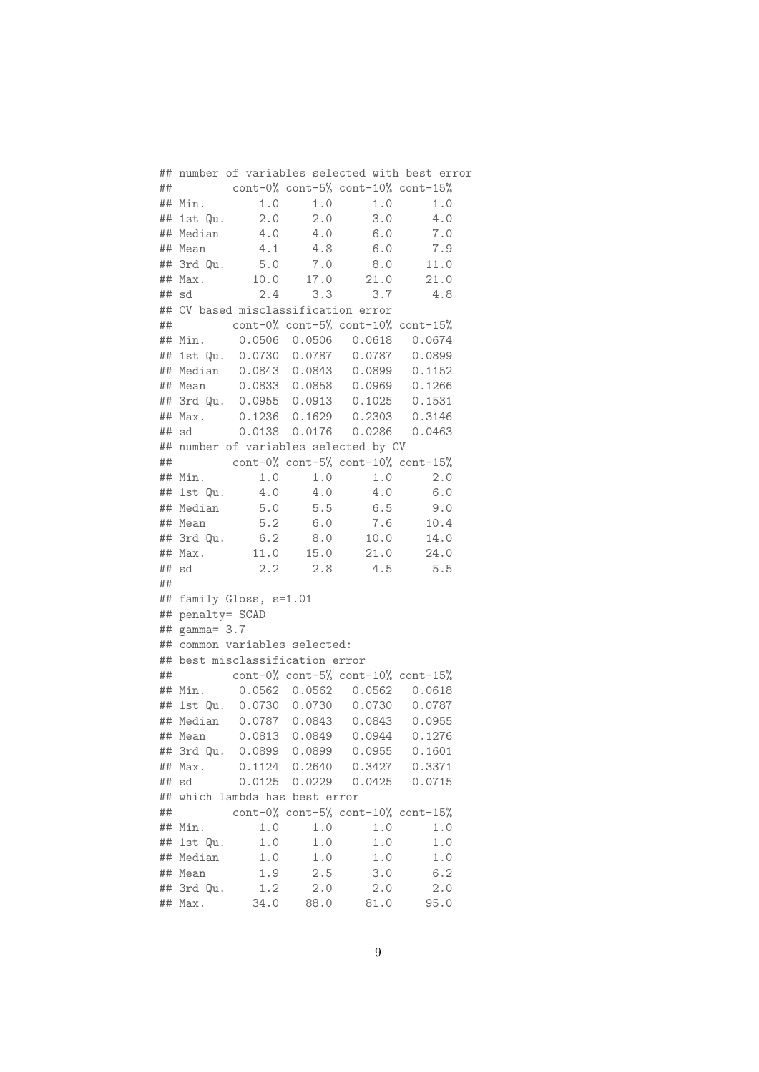|    |                  |                                 |              |                                               | ## number of variables selected with best error |
|----|------------------|---------------------------------|--------------|-----------------------------------------------|-------------------------------------------------|
| ## |                  |                                 |              | $cont-0$ % $cont-5$ % $cont-10$ % $cont-15$ % |                                                 |
|    | ## Min.          |                                 | $1.0 \t1.0$  |                                               | 1.0<br>1.0                                      |
|    | ## 1st Qu.       |                                 | 2.0 2.0      | 3.0                                           | 4.0                                             |
|    | ## Median        |                                 |              | $4.0$ $4.0$ $6.0$                             | 7.0                                             |
|    | ## Mean          |                                 | $4.1$ $4.8$  | 6.0                                           | 7.9                                             |
|    |                  |                                 |              | ## 3rd Qu. 5.0 7.0 8.0                        | 11.0                                            |
|    |                  |                                 |              |                                               | 21.0                                            |
|    | ## sd            |                                 | $2.4$ $3.3$  | 3.7                                           | 4.8                                             |
|    |                  |                                 |              | ## CV based misclassification error           |                                                 |
| ## |                  |                                 |              | $cont-0$ % $cont-5$ % $cont-10$ % $cont-15$ % |                                                 |
|    |                  |                                 |              | ## Min.  0.0506  0.0506  0.0618  0.0674       |                                                 |
|    |                  |                                 |              | ## 1st Qu. 0.0730 0.0787 0.0787 0.0899        |                                                 |
|    |                  |                                 |              | ## Median 0.0843 0.0843 0.0899 0.1152         |                                                 |
|    |                  |                                 |              | ## Mean 0.0833 0.0858 0.0969 0.1266           |                                                 |
|    |                  |                                 |              | ## 3rd Qu. 0.0955 0.0913 0.1025 0.1531        |                                                 |
|    |                  |                                 |              | ## Max. 0.1236 0.1629 0.2303 0.3146           |                                                 |
|    |                  |                                 |              | ## sd 0.0138 0.0176 0.0286 0.0463             |                                                 |
|    |                  |                                 |              | ## number of variables selected by CV         |                                                 |
|    |                  |                                 |              | ## cont-0% cont-5% cont-10% cont-15%          |                                                 |
|    | ## Min.          |                                 | $1.0 \t 1.0$ | 1.0                                           | 2.0                                             |
|    |                  |                                 |              | ## 1st Qu. 4.0 4.0 4.0                        | 6.0                                             |
|    | ## Median        |                                 |              | 5.0 5.5 6.5                                   | 9.0                                             |
|    |                  |                                 |              | ## Mean 5.2 6.0 7.6                           | 10.4                                            |
|    |                  | ## 3rd Qu. 6.2 8.0              |              | 10.0                                          | 14.0                                            |
|    |                  |                                 |              | ## Max. 11.0 15.0 21.0                        | 24.0                                            |
|    | ## sd            |                                 | $2.2$ $2.8$  | 4.5                                           | 5.5                                             |
| ## |                  |                                 |              |                                               |                                                 |
|    |                  | ## family Gloss, s=1.01         |              |                                               |                                                 |
|    | ## penalty= SCAD |                                 |              |                                               |                                                 |
|    |                  |                                 |              |                                               |                                                 |
|    | ## $gamma = 3.7$ | ## common variables selected:   |              |                                               |                                                 |
|    |                  |                                 |              |                                               |                                                 |
|    |                  | ## best misclassification error |              |                                               |                                                 |
| ## |                  |                                 |              | $cont-0$ % $cont-5$ % $cont-10$ % $cont-15$ % |                                                 |
|    |                  |                                 |              | ## Min. 0.0562 0.0562 0.0562 0.0618           |                                                 |
|    |                  |                                 |              | ## 1st Qu. 0.0730 0.0730 0.0730 0.0787        |                                                 |
|    |                  |                                 |              | ## Median  0.0787  0.0843  0.0843  0.0955     |                                                 |
|    |                  |                                 |              | ## Mean 0.0813 0.0849 0.0944 0.1276           |                                                 |
|    |                  |                                 |              | ## 3rd Qu. 0.0899 0.0899 0.0955 0.1601        |                                                 |
|    |                  |                                 |              | ## Max. 0.1124 0.2640 0.3427 0.3371           |                                                 |
|    |                  |                                 |              | ## sd 0.0125 0.0229 0.0425 0.0715             |                                                 |
|    |                  | ## which lambda has best error  |              |                                               |                                                 |
|    |                  |                                 |              | ## cont-0% cont-5% cont-10% cont-15%          |                                                 |
|    | ## Min.          | 1.0                             |              | 1.0                                           | 1.0<br>1.0                                      |
|    |                  | ## 1st Qu. 1.0 1.0              |              |                                               | 1.0<br>1.0                                      |
|    |                  |                                 |              | ## Median 1.0 1.0 1.0                         | $1\,.$ $0\,$                                    |
|    |                  |                                 |              |                                               |                                                 |
|    |                  |                                 |              | ## 3rd Qu. 1.2 2.0 2.0 2.0                    |                                                 |
|    |                  |                                 |              | ## Max. 34.0 88.0 81.0 95.0                   |                                                 |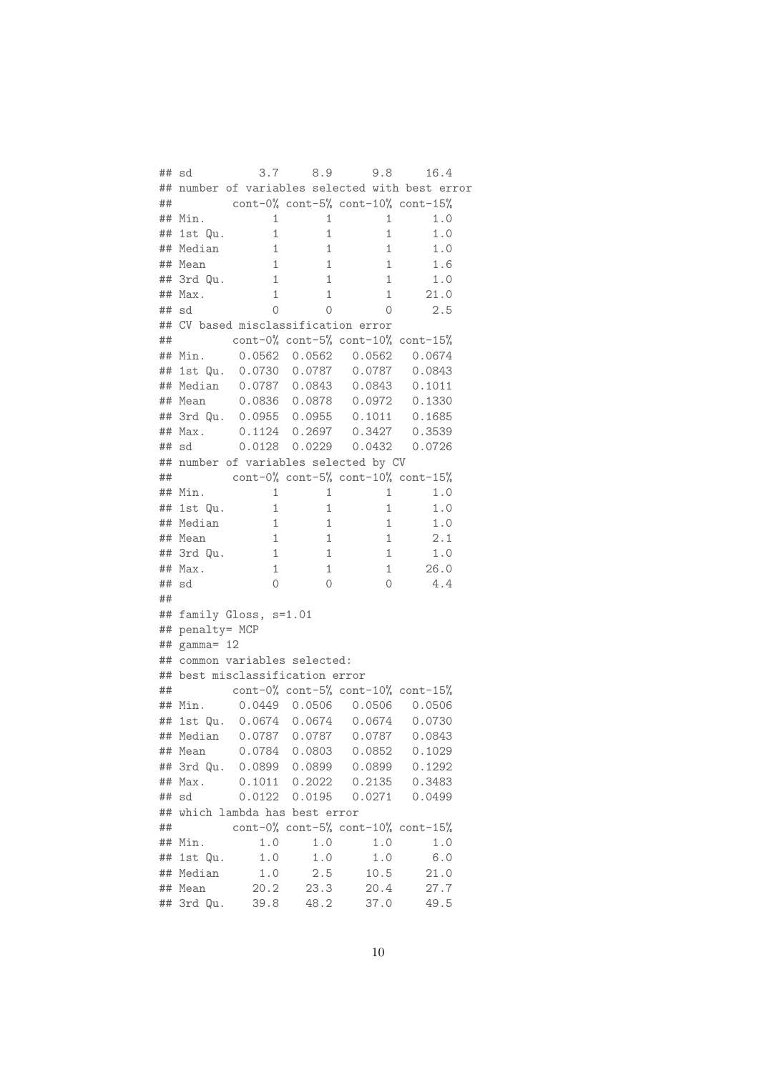| ## | sd           | 3.7                             | 8.9           | 9.8                                           | 16.4                                            |
|----|--------------|---------------------------------|---------------|-----------------------------------------------|-------------------------------------------------|
|    |              |                                 |               |                                               | ## number of variables selected with best error |
| ## |              |                                 |               | cont-0% cont-5% cont-10% cont-15%             |                                                 |
|    | ## Min.      | 1                               | 1             | 1                                             | 1.0                                             |
|    | ## 1st Qu.   | 1                               | 1             | 1                                             | 1.0                                             |
|    | ## Median    | 1                               | 1             | 1                                             | 1.0                                             |
|    | ## Mean      | 1                               | 1             | 1                                             | 1.6                                             |
|    | ## 3rd Qu.   | 1                               | 1             | 1                                             | 1.0                                             |
|    | ## Max.      | $\mathbf{1}$                    | 1             | 1                                             | 21.0                                            |
| ## | sd           | 0                               | 0             | 0                                             | 2.5                                             |
|    |              |                                 |               | ## CV based misclassification error           |                                                 |
| ## |              |                                 |               | cont-0% cont-5% cont-10% cont-15%             |                                                 |
|    | ## Min.      |                                 |               | 0.0562 0.0562 0.0562 0.0674                   |                                                 |
|    |              | ## 1st Qu. 0.0730 0.0787        |               |                                               | 0.0787 0.0843                                   |
|    | ## Median    |                                 | 0.0787 0.0843 |                                               | $0.0843$ $0.1011$                               |
|    | ## Mean      |                                 | 0.0836 0.0878 |                                               | $0.0972$ $0.1330$                               |
|    | ## 3rd Qu.   | 0.0955 0.0955                   |               |                                               | $0.1011$ $0.1685$                               |
|    | ## Max.      |                                 | 0.1124 0.2697 |                                               | $0.3427$ 0.3539                                 |
|    | ## sd        |                                 |               | 0.0128 0.0229 0.0432 0.0726                   |                                                 |
|    |              |                                 |               | ## number of variables selected by CV         |                                                 |
| ## |              |                                 |               | $cont-0$ % $cont-5$ % $cont-10$ % $cont-15$ % |                                                 |
|    | ## Min.      | 1                               | 1             | 1                                             | 1.0                                             |
|    | ## 1st Qu.   | 1                               | 1             | 1                                             | 1.0                                             |
|    | ## Median    | 1                               | 1             | 1                                             | 1.0                                             |
|    | ## Mean      | 1                               | 1             | 1                                             | 2.1                                             |
|    | ## 3rd Qu.   | 1                               | 1             | 1                                             | 1.0                                             |
|    | ## Max.      | 1                               | 1             | 1                                             | 26.0                                            |
|    | ## sd        | 0                               | 0             | 0                                             | 4.4                                             |
| ## |              |                                 |               |                                               |                                                 |
|    |              | ## family Gloss, s=1.01         |               |                                               |                                                 |
| ## | penalty= MCP |                                 |               |                                               |                                                 |
| ## | $gamma = 12$ |                                 |               |                                               |                                                 |
|    |              | ## common variables selected:   |               |                                               |                                                 |
|    |              | ## best misclassification error |               | $cont-0$ % $cont-5$ % $cont-10$ % $cont-15$ % |                                                 |
| ## | ## Min.      |                                 |               | 0.0449  0.0506  0.0506  0.0506                |                                                 |
| ## |              |                                 |               | 1st Qu. 0.0674 0.0674 0.0674 0.0730           |                                                 |
|    |              |                                 |               | ## Median 0.0787 0.0787 0.0787 0.0843         |                                                 |
|    |              |                                 |               | ## Mean  0.0784  0.0803  0.0852  0.1029       |                                                 |
|    |              |                                 |               | ## 3rd Qu. 0.0899 0.0899 0.0899 0.1292        |                                                 |
|    | ## Max.      |                                 |               | $0.1011$ $0.2022$ $0.2135$ $0.3483$           |                                                 |
| ## | sd           |                                 |               | $0.0122$ $0.0195$ $0.0271$ $0.0499$           |                                                 |
|    |              | ## which lambda has best error  |               |                                               |                                                 |
| ## |              |                                 |               | cont-0% cont-5% cont-10% cont-15%             |                                                 |
|    | ## Min.      | 1.0                             | 1.0           | 1.0                                           | 1.0                                             |
|    | ## 1st Qu.   | 1.0                             | 1.0           | 1.0                                           | 6.0                                             |
|    | ## Median    | 1.0                             | 2.5           | 10.5                                          | 21.0                                            |
|    | ## Mean      | 20.2                            | 23.3          | 20.4                                          | 27.7                                            |
|    | ## 3rd Qu.   | 39.8                            | 48.2          | 37.0                                          | 49.5                                            |
|    |              |                                 |               |                                               |                                                 |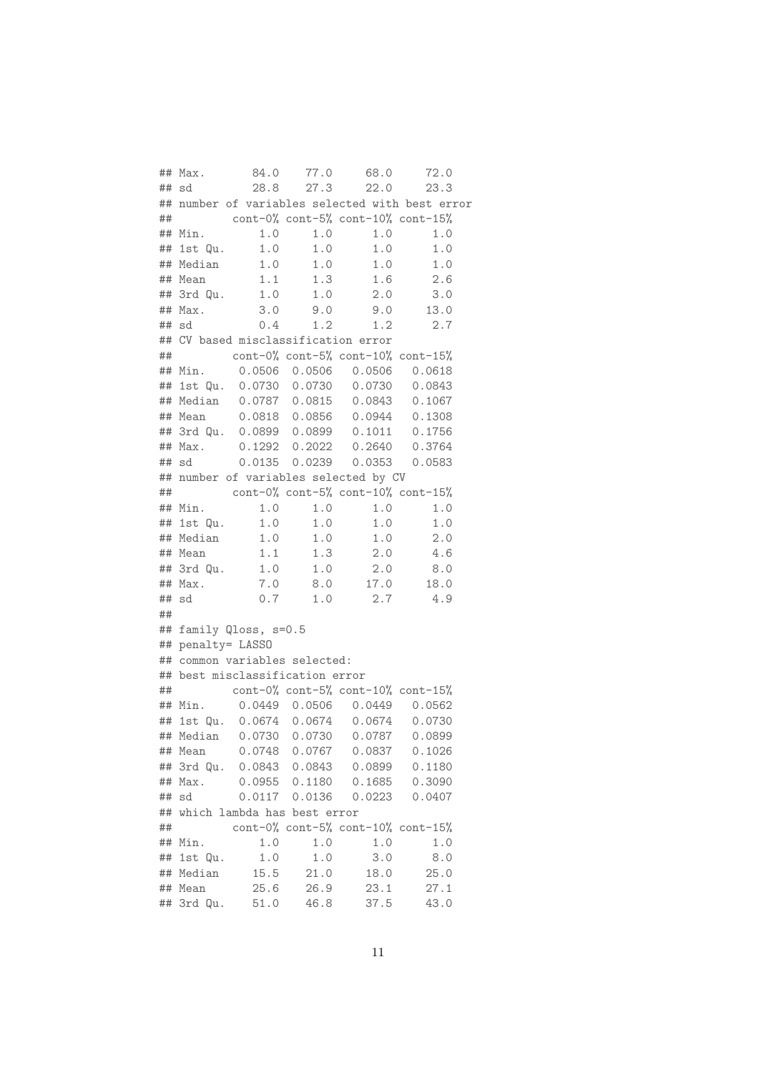|    | ## Max.                     | 84.0                            | 77.0        | 68.0                                                                  | 72.0                                            |
|----|-----------------------------|---------------------------------|-------------|-----------------------------------------------------------------------|-------------------------------------------------|
|    | ## sd                       | 28.8                            | 27.3        | 22.0                                                                  | 23.3                                            |
|    |                             |                                 |             |                                                                       | ## number of variables selected with best error |
| ## |                             |                                 |             | cont-0% cont-5% cont-10% cont-15%                                     |                                                 |
|    | ## Min.                     | 1.0                             |             | 1.0<br>1.0                                                            | 1.0                                             |
|    | $\# \#$ 1st $\mathbb{Q}$ u. | 1.0                             | 1.0         | 1.0                                                                   | 1.0                                             |
|    | ## Median                   | 1.0                             | 1.0         | 1.0                                                                   | 1.0                                             |
|    | ## Mean                     | 1.1                             | 1.3         | 1.6                                                                   | 2.6                                             |
|    | ## 3rd Qu.                  | 1.0                             | 1.0         | 2.0                                                                   | 3.0                                             |
|    | ## Max.                     |                                 | $3.0$ $9.0$ | 9.0                                                                   | 13.0                                            |
| ## | sd                          | 0.4                             | 1.2         | 1.2                                                                   | 2.7                                             |
|    |                             |                                 |             | ## CV based misclassification error                                   |                                                 |
| ## |                             |                                 |             | $cont-0$ % $cont-5$ % $cont-10$ % $cont-15$ %                         |                                                 |
|    |                             |                                 |             | ## Min. 0.0506 0.0506 0.0506 0.0618                                   |                                                 |
|    |                             |                                 |             | ## 1st Qu. 0.0730 0.0730 0.0730 0.0843                                |                                                 |
|    |                             |                                 |             | ## Median 0.0787 0.0815 0.0843 0.1067                                 |                                                 |
|    | ## Mean                     |                                 |             | 0.0818  0.0856  0.0944  0.1308                                        |                                                 |
|    |                             |                                 |             | ## 3rd Qu. 0.0899 0.0899 0.1011 0.1756                                |                                                 |
|    |                             |                                 |             | ## Max. 0.1292 0.2022 0.2640 0.3764                                   |                                                 |
| ## | sd                          |                                 |             | $0.0135$ 0.0239 0.0353 0.0583                                         |                                                 |
|    |                             |                                 |             | ## number of variables selected by CV                                 |                                                 |
| ## |                             |                                 |             | cont-0% cont-5% cont-10% cont-15%                                     |                                                 |
|    | ## Min.                     |                                 |             | $1.0$ $1.0$ $1.0$                                                     | 1.0                                             |
|    | ## 1st Qu.                  |                                 | $1.0 \t1.0$ | 1.0                                                                   | 1.0                                             |
|    | ## Median                   |                                 |             | $1.0 \t 1.0 \t 1.0$                                                   | 2.0                                             |
|    | ## Mean                     |                                 |             | $1.1 \t1.3 \t2.0$                                                     | 4.6                                             |
|    |                             |                                 |             | ## 3rd Qu. 1.0 1.0 2.0                                                | 8.0                                             |
|    | ## Max.                     | 7.0                             | 8.0         | 17.0                                                                  | 18.0                                            |
| ## | sd                          | 0.7                             | 1.0         | 2.7                                                                   | 4.9                                             |
| ## |                             |                                 |             |                                                                       |                                                 |
|    |                             | ## family Qloss, s=0.5          |             |                                                                       |                                                 |
| ## | penalty= LASSO              |                                 |             |                                                                       |                                                 |
|    |                             | ## common variables selected:   |             |                                                                       |                                                 |
|    |                             | ## best misclassification error |             |                                                                       |                                                 |
| ## |                             |                                 |             | $cont-0$ % $cont-5$ % $cont-10$ % $cont-15$ %                         |                                                 |
|    | ## Min.                     |                                 |             | $0.0449$ 0.0506 0.0449 0.0562                                         |                                                 |
| ## |                             |                                 |             | 1st Qu. 0.0674 0.0674 0.0674 0.0730                                   |                                                 |
|    |                             |                                 |             | ## Median 0.0730 0.0730 0.0787 0.0899                                 |                                                 |
| ## | ## Mean                     |                                 |             | 0.0748  0.0767  0.0837  0.1026<br>3rd Qu. 0.0843 0.0843 0.0899 0.1180 |                                                 |
|    | ## Max.                     |                                 |             | 0.0955 0.1180 0.1685 0.3090                                           |                                                 |
| ## | sd                          |                                 |             | 0.0117 0.0136 0.0223 0.0407                                           |                                                 |
| ## |                             | which lambda has best error     |             |                                                                       |                                                 |
| ## |                             |                                 |             | $cont-0$ % $cont-5$ % $cont-10$ % $cont-15$ %                         |                                                 |
|    | ## Min.                     | 1.0                             | 1.0         | 1.0                                                                   | 1.0                                             |
| ## | 1st Qu.                     | 1.0                             | 1.0         | 3.0                                                                   | 8.0                                             |
|    | ## Median                   | 15.5                            | 21.0        | 18.0                                                                  | 25.0                                            |
|    | ## Mean                     | 25.6                            | 26.9        | 23.1                                                                  | 27.1                                            |
|    | ## 3rd Qu.                  | 51.0                            | 46.8        | 37.5                                                                  | 43.0                                            |
|    |                             |                                 |             |                                                                       |                                                 |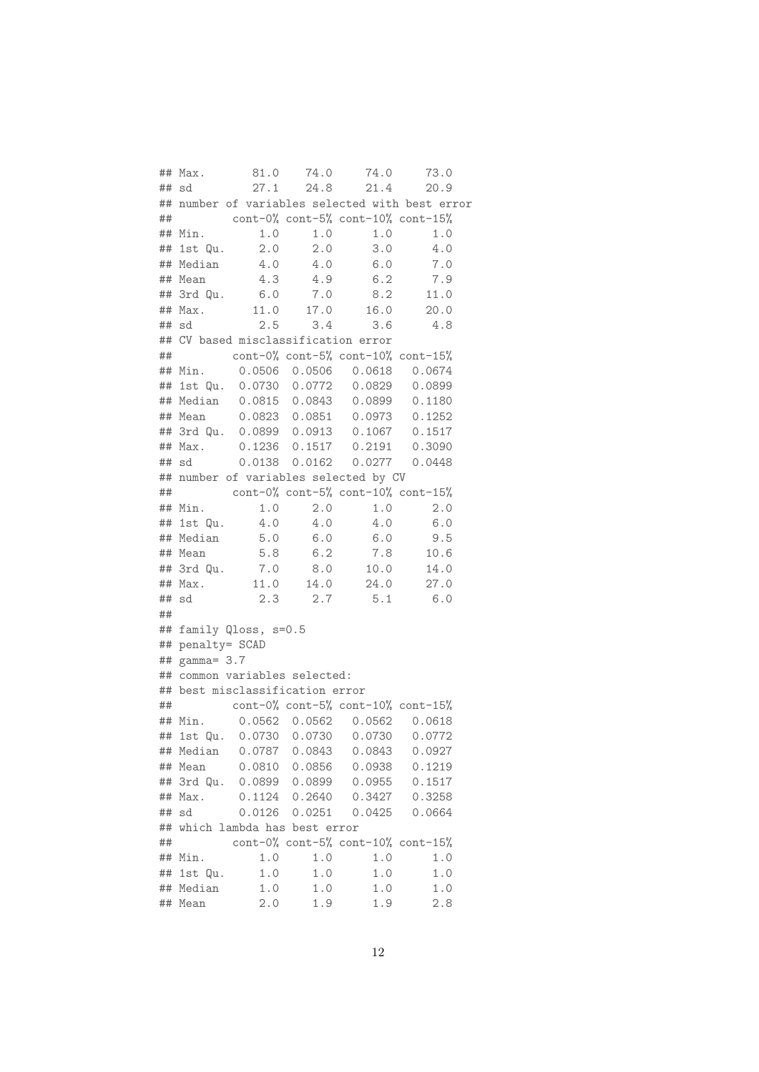|    | ## Max.       | 81.0                            | 74.0      | 74.0                                                                                | 73.0                                            |
|----|---------------|---------------------------------|-----------|-------------------------------------------------------------------------------------|-------------------------------------------------|
|    | ## sd         | 27.1                            | 24.8      | 21.4                                                                                | 20.9                                            |
|    |               |                                 |           |                                                                                     | ## number of variables selected with best error |
| ## |               |                                 |           | cont-0% cont-5% cont-10% cont-15%                                                   |                                                 |
|    | ## Min.       | 1.0                             | 1.0       |                                                                                     | 1.0<br>1.0                                      |
|    | ## 1st Qu.    | 2.0                             | 2.0       | 3.0                                                                                 | 4.0                                             |
|    | ## Median     | 4.0                             | 4.0       | 6.0                                                                                 | $7 \, . \, 0$                                   |
|    | ## Mean       |                                 | 4.3 4.9   | 6.2                                                                                 | 7.9                                             |
|    |               |                                 |           | ## 3rd Qu. 6.0 7.0 8.2                                                              | 11.0                                            |
|    | ## Max.       |                                 |           | 11.0 17.0 16.0                                                                      | 20.0                                            |
| ## | sd            | 2.5                             | 3.4       | 3.6                                                                                 | 4.8                                             |
|    |               |                                 |           | ## CV based misclassification error                                                 |                                                 |
| ## |               |                                 |           | $cont-0$ % $cont-5$ % $cont-10$ % $cont-15$ %                                       |                                                 |
|    |               |                                 |           | ## Min. 0.0506 0.0506 0.0618 0.0674                                                 |                                                 |
|    |               |                                 |           | ## 1st Qu. 0.0730 0.0772 0.0829 0.0899                                              |                                                 |
|    |               |                                 |           | ## Median 0.0815 0.0843 0.0899 0.1180                                               |                                                 |
|    | ## Mean       |                                 |           | 0.0823 0.0851 0.0973 0.1252                                                         |                                                 |
|    |               |                                 |           | ## 3rd Qu. 0.0899 0.0913 0.1067 0.1517                                              |                                                 |
|    |               |                                 |           | ## Max. 0.1236 0.1517 0.2191 0.3090                                                 |                                                 |
|    | ## sd         |                                 |           | 0.0138  0.0162  0.0277  0.0448                                                      |                                                 |
|    |               |                                 |           | ## number of variables selected by CV                                               |                                                 |
| ## |               |                                 |           | cont-0% cont-5% cont-10% cont-15%                                                   |                                                 |
|    | ## Min.       |                                 |           | $1.0$ $2.0$ $1.0$                                                                   | 2.0                                             |
|    |               |                                 |           | ## 1st Qu. 4.0 4.0 4.0                                                              | 6.0                                             |
|    |               |                                 |           | ## Median 5.0 6.0 6.0                                                               | 9.5                                             |
|    | ## Mean       |                                 |           | 5.8 6.2 7.8                                                                         | 10.6                                            |
|    |               |                                 |           | ## 3rd Qu. 7.0 8.0 10.0                                                             | 14.0                                            |
|    | ## Max.       |                                 | 11.0 14.0 | 24.0                                                                                | 27.0                                            |
| ## | sd            | 2.3                             | 2.7       | 5.1                                                                                 | 6.0                                             |
| ## |               |                                 |           |                                                                                     |                                                 |
|    |               | ## family Qloss, s=0.5          |           |                                                                                     |                                                 |
| ## | penalty= SCAD |                                 |           |                                                                                     |                                                 |
| ## | gamma= $3.7$  |                                 |           |                                                                                     |                                                 |
|    |               | ## common variables selected:   |           |                                                                                     |                                                 |
|    |               | ## best misclassification error |           |                                                                                     |                                                 |
| ## |               |                                 |           | $cont-0$ % $cont-5$ % $cont-10$ % $cont-15$ %                                       |                                                 |
|    |               |                                 |           | ## Min.  0.0562  0.0562  0.0562  0.0618                                             |                                                 |
|    |               |                                 |           | ## 1st Qu. 0.0730 0.0730 0.0730 0.0772<br>## Median  0.0787  0.0843  0.0843  0.0927 |                                                 |
|    | ## Mean       |                                 |           | 0.0810  0.0856  0.0938  0.1219                                                      |                                                 |
|    |               |                                 |           | ## 3rd Qu. 0.0899 0.0899 0.0955 0.1517                                              |                                                 |
|    |               |                                 |           | ## Max. 0.1124 0.2640 0.3427 0.3258                                                 |                                                 |
| ## | sd            |                                 |           | 0.0126 0.0251 0.0425 0.0664                                                         |                                                 |
|    |               | ## which lambda has best error  |           |                                                                                     |                                                 |
| ## |               |                                 |           | $cont-0$ % $cont-5$ % $cont-10$ % $cont-15$ %                                       |                                                 |
|    | ## Min.       | 1.0                             |           | 1.0<br>1.0                                                                          | 1.0                                             |
|    | ## 1st Qu.    | 1.0                             | 1.0       | 1.0                                                                                 | 1.0                                             |
|    | ## Median     | 1.0                             | 1.0       | 1.0                                                                                 | 1.0                                             |
|    | ## Mean       | 2.0                             | 1.9       | 1.9                                                                                 | 2.8                                             |
|    |               |                                 |           |                                                                                     |                                                 |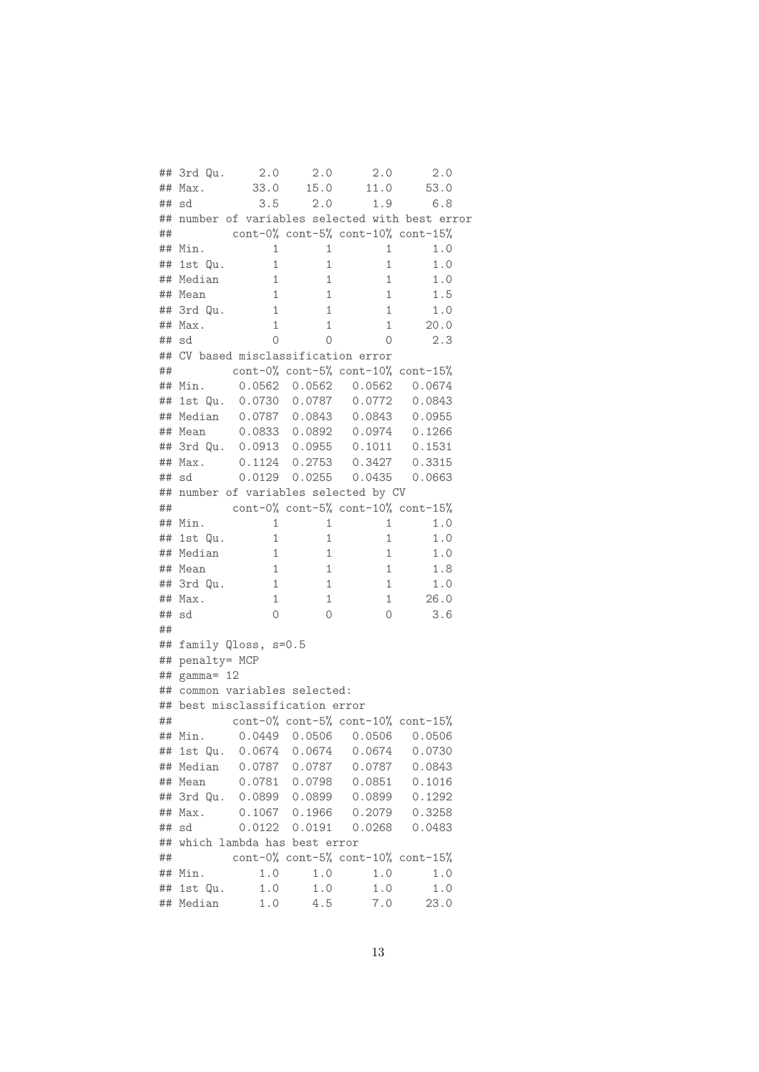|    | ## 3rd Qu.                      | 2.0      | 2.0  | 2.0                                           | 2.0                                             |
|----|---------------------------------|----------|------|-----------------------------------------------|-------------------------------------------------|
|    | ## Max.                         | 33.0     | 15.0 | 11.0                                          | 53.0                                            |
|    | $##$ sd                         | 3.5      | 2.0  | 1.9                                           | 6.8                                             |
|    |                                 |          |      |                                               | ## number of variables selected with best error |
| ## |                                 |          |      | $cont-0$ % $cont-5$ % $cont-10$ % $cont-15$ % |                                                 |
|    | ## Min.                         | 1        | 1    | 1                                             | 1.0                                             |
|    | ## 1st Qu.                      | 1        | 1    | 1                                             | 1.0                                             |
|    | ## Median                       | 1        | 1    | 1                                             | 1.0                                             |
|    | ## Mean                         | 1        | 1    | 1                                             | 1.5                                             |
|    | ## 3rd Qu.                      | 1        | 1    | 1                                             | 1.0                                             |
|    | ## Max.                         | 1        | 1    | 1                                             | 20.0                                            |
| ## | sd                              | $\Omega$ | 0    | 0                                             | 2.3                                             |
|    |                                 |          |      | ## CV based misclassification error           |                                                 |
| ## |                                 |          |      | $cont-0$ % $cont-5$ % $cont-10$ % $cont-15$ % |                                                 |
|    | ## Min.                         |          |      | 0.0562 0.0562 0.0562 0.0674                   |                                                 |
|    |                                 |          |      | ## 1st Qu. 0.0730 0.0787 0.0772 0.0843        |                                                 |
|    |                                 |          |      | ## Median 0.0787 0.0843 0.0843 0.0955         |                                                 |
|    | ## Mean                         |          |      | 0.0833 0.0892 0.0974 0.1266                   |                                                 |
|    |                                 |          |      | ## 3rd Qu. 0.0913 0.0955 0.1011 0.1531        |                                                 |
|    |                                 |          |      | ## Max. 0.1124 0.2753 0.3427 0.3315           |                                                 |
|    | ## sd                           |          |      | $0.0129$ 0.0255 0.0435 0.0663                 |                                                 |
|    |                                 |          |      | ## number of variables selected by CV         |                                                 |
| ## |                                 |          |      | $cont-0$ % $cont-5$ % $cont-10$ % $cont-15$ % |                                                 |
|    | ## Min.                         | 1        | 1    | 1                                             | 1.0                                             |
|    | ## 1st Qu.                      | 1        | 1    | 1                                             | 1.0                                             |
|    | ## Median                       | 1        | 1    | 1                                             | 1.0                                             |
|    | ## Mean                         | 1        | 1    | 1                                             | 1.8                                             |
|    | ## 3rd Qu.                      | 1        | 1    | $\mathbf 1$                                   | 1.0                                             |
|    | ## Max.                         | 1        | 1    | 1                                             | 26.0                                            |
| ## | sd                              | 0        | 0    | 0                                             | 3.6                                             |
| ## |                                 |          |      |                                               |                                                 |
|    | ## family Qloss, s=0.5          |          |      |                                               |                                                 |
|    | ## penalty= MCP                 |          |      |                                               |                                                 |
|    | $\#$ # gamma= 12                |          |      |                                               |                                                 |
|    | ## common variables selected:   |          |      |                                               |                                                 |
|    | ## best misclassification error |          |      |                                               |                                                 |
| ## |                                 |          |      | $cont-0$ % $cont-5$ % $cont-10$ % $cont-15$ % |                                                 |
|    |                                 |          |      |                                               | ## Min. 0.0449 0.0506 0.0506 0.0506             |
|    |                                 |          |      | ## 1st Qu. 0.0674 0.0674 0.0674               | 0.0730                                          |
|    |                                 |          |      | ## Median  0.0787  0.0787  0.0787  0.0843     |                                                 |
|    | ## Mean                         |          |      | 0.0781 0.0798 0.0851 0.1016                   |                                                 |
|    |                                 |          |      | ## 3rd Qu. 0.0899 0.0899 0.0899 0.1292        |                                                 |
|    | ## Max.                         |          |      | 0.1067 0.1966 0.2079 0.3258                   |                                                 |
| ## | sd                              |          |      | 0.0122 0.0191 0.0268 0.0483                   |                                                 |
| ## | ## which lambda has best error  |          |      |                                               |                                                 |
|    |                                 |          |      | $cont-0$ % $cont-5$ % $cont-10$ % $cont-15$ % |                                                 |
|    | ## Min.                         | 1.0      | 1.0  | 1.0                                           | 1.0                                             |
|    | ## 1st Qu.<br>## Median         | 1.0      | 1.0  | 1.0                                           | 1.0                                             |
|    |                                 | 1.0      | 4.5  | 7.0                                           | 23.0                                            |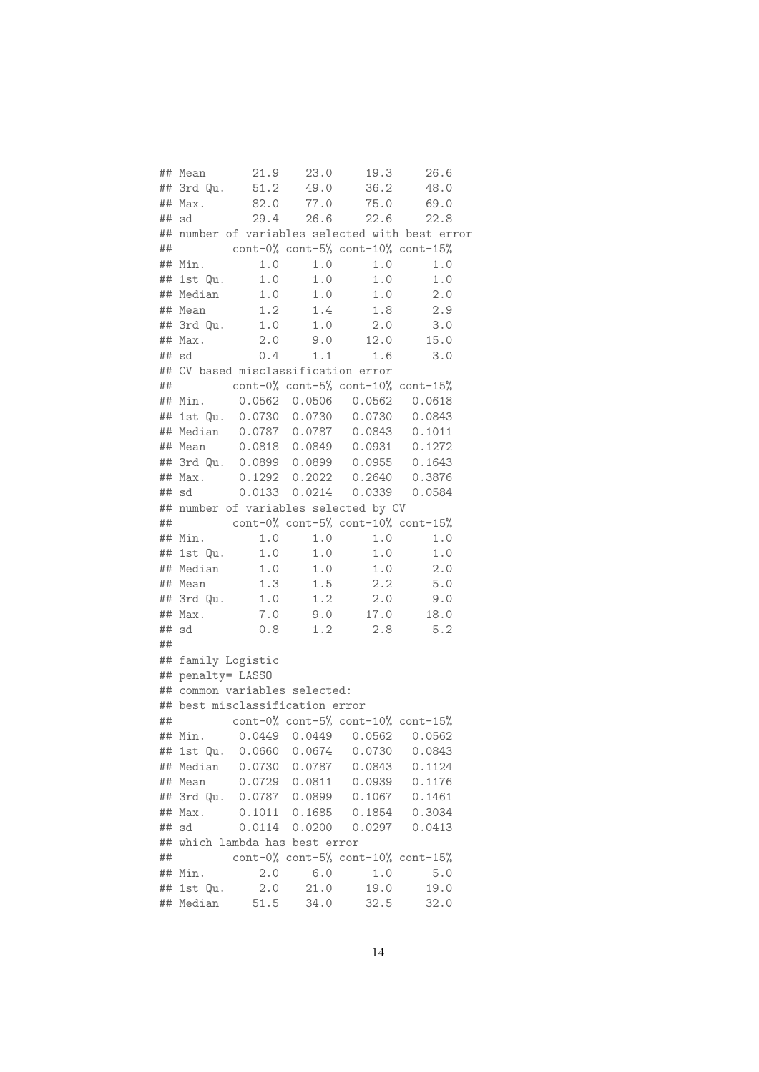## Mean 21.9 23.0 19.3 26.6 ## 3rd Qu. 51.2 49.0 36.2 48.0 ## Max. 82.0 77.0 75.0 69.0 ## sd 29.4 26.6 22.6 22.8 ## number of variables selected with best error ## cont-0% cont-5% cont-10% cont-15% ## Min. 1.0 1.0 1.0 1.0 ## 1st Qu. 1.0 1.0 1.0 1.0 ## Median 1.0 1.0 1.0 2.0 ## Mean 1.2 1.4 1.8 2.9 ## 3rd Qu. 1.0 1.0 2.0 3.0 ## Max. 2.0 9.0 12.0 15.0 ## sd 0.4 1.1 1.6 3.0 ## CV based misclassification error ## cont-0% cont-5% cont-10% cont-15% 0.0562 0.0506 0.0562 0.0618 ## 1st Qu. 0.0730 0.0730 0.0730 0.0843 ## Median 0.0787 0.0787 0.0843 0.1011 ## Mean 0.0818 0.0849 0.0931 0.1272 ## 3rd Qu. 0.0899 0.0899 0.0955 0.1643 ## Max. 0.1292 0.2022 0.2640 0.3876 ## sd 0.0133 0.0214 0.0339 0.0584 ## number of variables selected by CV ## cont-0% cont-5% cont-10% cont-15% ## Min. 1.0 1.0 1.0 1.0 ## 1st Qu. 1.0 1.0 1.0 1.0 ## Median 1.0 1.0 1.0 2.0 4<br>
## Mean 1.3 1.5 2.2 5.0<br>
## 3rd Qu. 1.0 1.2 2.0 9.0 ## 3rd Qu. 1.0 1.2 2.0 9.0 ## Max. 7.0 9.0 17.0 18.0 ## 3rd Qu. 1.0 1.2 2.0 9.0<br>
## Max. 7.0 9.0 17.0 18.0<br>
## Max. 7.0 9.0 17.0 18.0<br>
## sd 0.8 1.2 2.8 5.2 ## ## family Logistic ## penalty= LASSO ## common variables selected: ## best misclassification error ## cont-0% cont-5% cont-10% cont-15% ## Min. 0.0449 0.0449 0.0562 0.0562 ## 1st Qu. 0.0660 0.0674 0.0730 0.0843 ## Median 0.0730 0.0787 0.0843 0.1124 ## Mean 0.0729 0.0811 0.0939 0.1176 ## 3rd Qu. 0.0787 0.0899 0.1067 0.1461 ## Max. 0.1011 0.1685 0.1854 0.3034 ## sd 0.0114 0.0200 0.0297 0.0413 ## which lambda has best error ## cont-0% cont-5% cont-10% cont-15% ## Min. 2.0 6.0 1.0 5.0 ## 1st Qu. 2.0 21.0 19.0 19.0 ## Median 51.5 34.0 32.5 32.0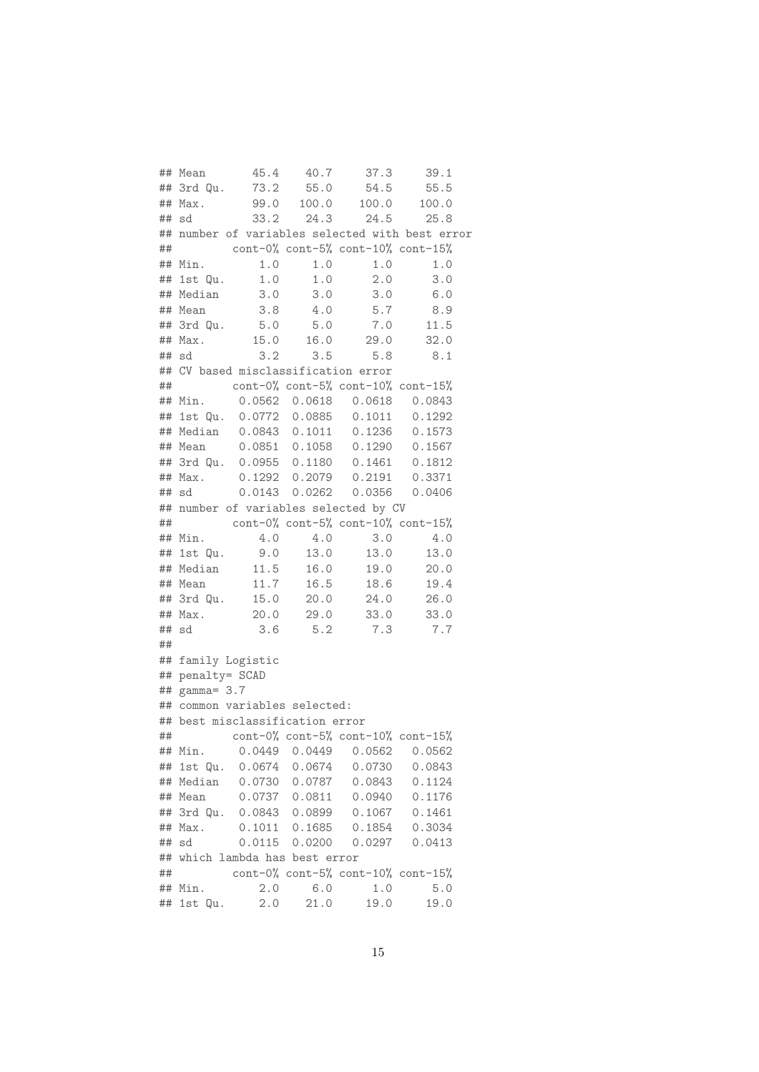```
## Mean 45.4 40.7 37.3 39.1
          73.2 55.0 54.5 55.5
## Max. 99.0 100.0 100.0 100.0
## sd 33.2 24.3 24.5 25.8
## number of variables selected with best error
## cont-0% cont-5% cont-10% cont-15%
## Min. 1.0 1.0 1.0 1.0
## 1st Qu. 1.0 1.0 2.0 3.0
## Median 3.0 3.0 3.0 6.0
## Mean 3.8 4.0 5.7 8.9
## 3rd Qu. 5.0 5.0 7.0 11.5
## Max. 15.0 16.0 29.0 32.0
## sd 3.2 3.5 5.8 8.1
## CV based misclassification error
## cont-0% cont-5% cont-10% cont-15%
## Min. 0.0562 0.0618 0.0618 0.0843
## 1st Qu. 0.0772 0.0885 0.1011 0.1292
## Median 0.0843 0.1011 0.1236 0.1573
## Mean 0.0851 0.1058 0.1290 0.1567
## 3rd Qu. 0.0955 0.1180 0.1461 0.1812
## Max. 0.1292 0.2079 0.2191
## sd 0.0143 0.0262 0.0356 0.0406
## number of variables selected by CV
## cont-0% cont-5% cont-10% cont-15%
## Min. 4.0 4.0 3.0 4.0
## 1st Qu. 9.0 13.0 13.0 13.0
## Median 11.5 16.0 19.0 20.0
## Mean 11.7 16.5 18.6 19.4
## 3rd Qu. 15.0 20.0 24.0 26.0
## Max. 20.0 29.0 33.0 33.0
4 3rd Qu. 15.0 20.0 24.0 26.0<br>
4 Max. 20.0 29.0 33.0 33.0<br>
4 sd 3.6 5.2 7.3 7.7
##
## family Logistic
## penalty= SCAD
## gamma= 3.7
## common variables selected:
## best misclassification error
## cont-0% cont-5% cont-10% cont-15%
## Min. 0.0449 0.0449 0.0562 0.0562
## 1st Qu. 0.0674 0.0674 0.0730
## Median 0.0730 0.0787 0.0843 0.1124
## Mean 0.0737 0.0811 0.0940 0.1176
## 3rd Qu. 0.0843 0.0899 0.1067 0.1461
## Max. 0.1011 0.1685 0.1854 0.3034
## sd 0.0115 0.0200 0.0297 0.0413
## which lambda has best error
## cont-0% cont-5% cont-10% cont-15%
## Min. 2.0 6.0 1.0 5.0
## 1st Qu. 2.0 21.0 19.0 19.0
```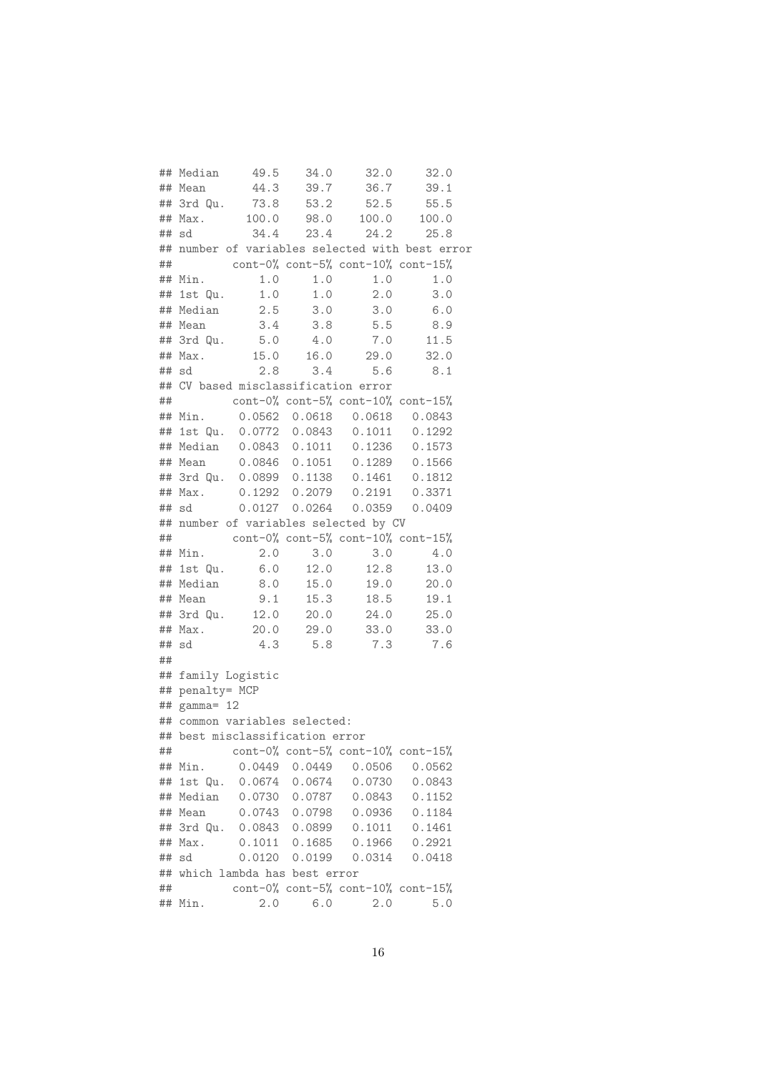## Median 49.5 34.0 32.0 32.0 ## Mean 44.3 39.7 36.7 39.1 ## 3rd Qu. 73.8 53.2 52.5 55.5 ## Max. 100.0 98.0 100.0 100.0 ## sd 34.4 23.4 24.2 25.8 ## number of variables selected with best error ## cont-0% cont-5% cont-10% cont-15% ## Min. 1.0 1.0 1.0 1.0 ## 1st Qu. 1.0 1.0 2.0 3.0 ## Median 2.5 3.0 3.0 6.0 ## Mean 3.4 3.8 5.5 8.9 ## 3rd Qu. 5.0 4.0 7.0 11.5 ## Max. 15.0 16.0 29.0 32.0 ## sd 2.8 3.4 5.6 8.1 ## CV based misclassification error ## cont-0% cont-5% cont-10% cont-15% 0.0562 0.0618 0.0618 0.0843 ## 1st Qu. 0.0772 0.0843 0.1011 0.1292 ## Median 0.0843 0.1011 0.1236 0.1573 ## Mean 0.0846 0.1051 0.1289 0.1566 ## 3rd Qu. 0.0899 0.1138 0.1461 0.1812 ## Max. 0.1292 0.2079 0.2191 ## sd 0.0127 0.0264 0.0359 0.0409 ## number of variables selected by CV ## cont-0% cont-5% cont-10% cont-15% ## Min. 2.0 3.0 3.0 4.0 ## 1st Qu. 6.0 12.0 12.8 13.0 ## Median 8.0 15.0 19.0 20.0 ## Mean 9.1 15.3 18.5 19.1 ## 3rd Qu. 12.0 20.0 24.0 25.0 ## Max. 20.0 29.0<br>## sd 4.3 5.8  $#$   $#$  3rd Qu. 12.0 20.0  $\angle 4 \times 6$ <br>  $#$   $#$  Max. 20.0 29.0 33.0 33.0<br>  $#$   $#$  sd 4.3 5.8 7.3 7.6 ## ## family Logistic ## penalty= MCP ## gamma= 12 ## common variables selected: ## best misclassification error ## cont-0% cont-5% cont-10% cont-15% ## Min. 0.0449 0.0449 0.0506 0.0562 ## 1st Qu. 0.0674 0.0674 0.0730 0.0843 ## Median 0.0730 0.0787 0.0843 0.1152 ## Mean 0.0743 0.0798 0.0936 0.1184 ## 3rd Qu. 0.0843 0.0899 0.1011 0.1461 ## Max. 0.1011 0.1685 0.1966 0.2921 ## sd 0.0120 0.0199 0.0314 0.0418 ## which lambda has best error ## cont-0% cont-5% cont-10% cont-15% ## Min. 2.0 6.0 2.0 5.0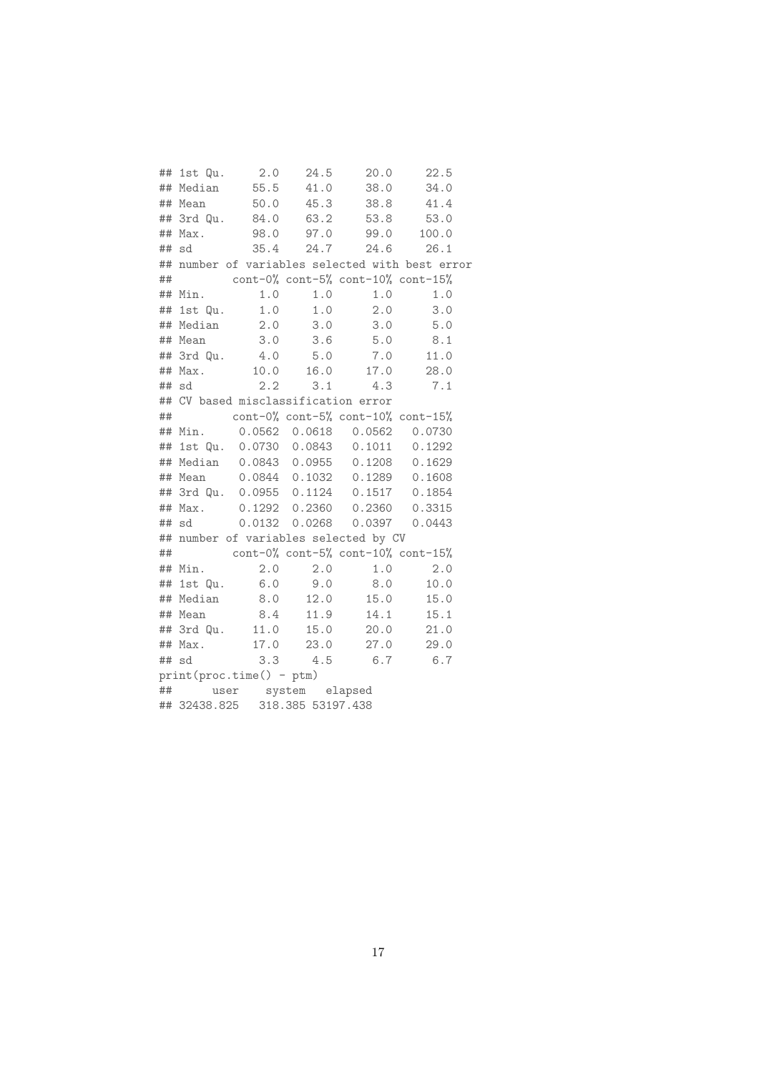|    | ## 1st Qu. | 2.0                            | 24.5        | 20.0                                          | 22.5                                            |  |
|----|------------|--------------------------------|-------------|-----------------------------------------------|-------------------------------------------------|--|
|    | ## Median  | 55.5                           | 41.0        | 38.0                                          | 34.0                                            |  |
|    | ## Mean    | 50.0                           | 45.3        | 38.8                                          | 41.4                                            |  |
|    | ## 3rd Qu. | 84.0                           | 63.2        | 53.8                                          | 53.0                                            |  |
|    | ## Max.    | 98.0                           | 97.0        | 99.0                                          | 100.0                                           |  |
|    | $##$ sd    | 35.4                           | 24.7        | 24.6                                          | 26.1                                            |  |
|    |            |                                |             |                                               | ## number of variables selected with best error |  |
|    | $\#$ #     |                                |             | $cont-0$ % $cont-5$ % $cont-10$ % $cont-15$ % |                                                 |  |
|    | ## Min.    |                                | $1.0$ $1.0$ | 1.0                                           | 1.0                                             |  |
|    |            | ## 1st Qu. 1.0 1.0             |             | 2.0                                           | 3.0                                             |  |
|    | ## Median  |                                | $2.0$ $3.0$ | 3.0                                           | 5.0                                             |  |
|    | ## Mean    |                                | $3.0$ $3.6$ | 5.0                                           | 8.1                                             |  |
|    | ## 3rd Qu. | 4.0                            | 5.0         | 7.0                                           | 11.0                                            |  |
|    | ## Max.    |                                | 10.0 16.0   | 17.0                                          | 28.0                                            |  |
|    | $##$ sd    | 2.2                            | 3.1         | 4.3                                           | 7.1                                             |  |
|    |            |                                |             | ## CV based misclassification error           |                                                 |  |
|    | ##         |                                |             | $cont-0$ % $cont-5$ % $cont-10$ % $cont-15$ % |                                                 |  |
|    |            |                                |             | ## Min. 0.0562 0.0618 0.0562 0.0730           |                                                 |  |
|    |            |                                |             | ## 1st Qu. 0.0730 0.0843 0.1011 0.1292        |                                                 |  |
|    |            |                                |             | ## Median  0.0843  0.0955  0.1208  0.1629     |                                                 |  |
|    |            |                                |             | ## Mean 0.0844 0.1032 0.1289 0.1608           |                                                 |  |
|    |            |                                |             | ## 3rd Qu. 0.0955 0.1124 0.1517 0.1854        |                                                 |  |
|    |            |                                |             | ## Max. 0.1292 0.2360 0.2360 0.3315           |                                                 |  |
|    | $##$ sd    |                                |             | 0.0132 0.0268 0.0397 0.0443                   |                                                 |  |
|    |            |                                |             | ## number of variables selected by CV         |                                                 |  |
| ## |            |                                |             | $cont-0$ % $cont-5$ % $cont-10$ % $cont-15$ % |                                                 |  |
|    | ## Min.    |                                | $2.0$ $2.0$ | 1.0                                           | 2.0                                             |  |
|    |            | ## 1st Qu. 6.0 9.0             |             | 8.0                                           | 10.0                                            |  |
|    |            |                                |             | ## Median 8.0 12.0 15.0                       | 15.0                                            |  |
|    | ## Mean    |                                |             | 8.4 11.9 14.1                                 | 15.1                                            |  |
|    |            |                                |             | ## 3rd Qu. 11.0 15.0 20.0 21.0                |                                                 |  |
|    |            |                                |             | ## Max. 17.0 23.0 27.0                        | 29.0                                            |  |
|    | ## sd      |                                |             | $3.3$ $4.5$ 6.7                               | 6.7                                             |  |
|    |            | $print(proc.time() - ptm)$     |             |                                               |                                                 |  |
|    | $\#$ #     | user system elapsed            |             |                                               |                                                 |  |
|    |            | ## 32438.825 318.385 53197.438 |             |                                               |                                                 |  |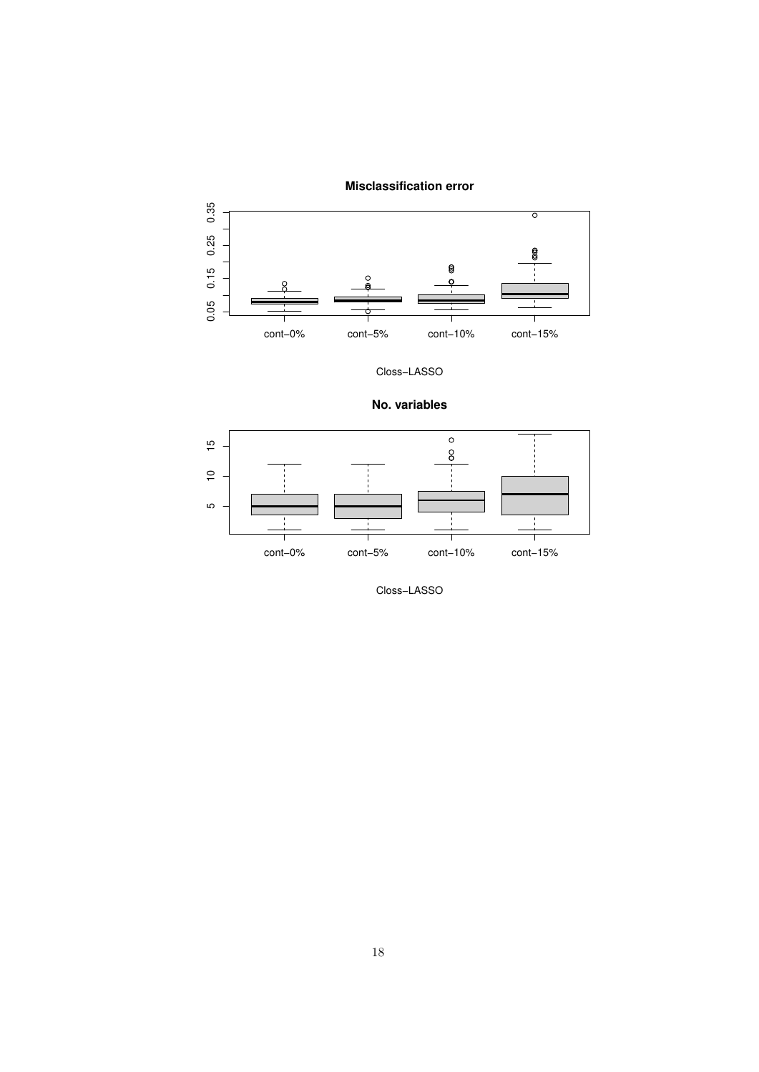

**Misclassification error**

Closs−LASSO



**No. variables**

Closs−LASSO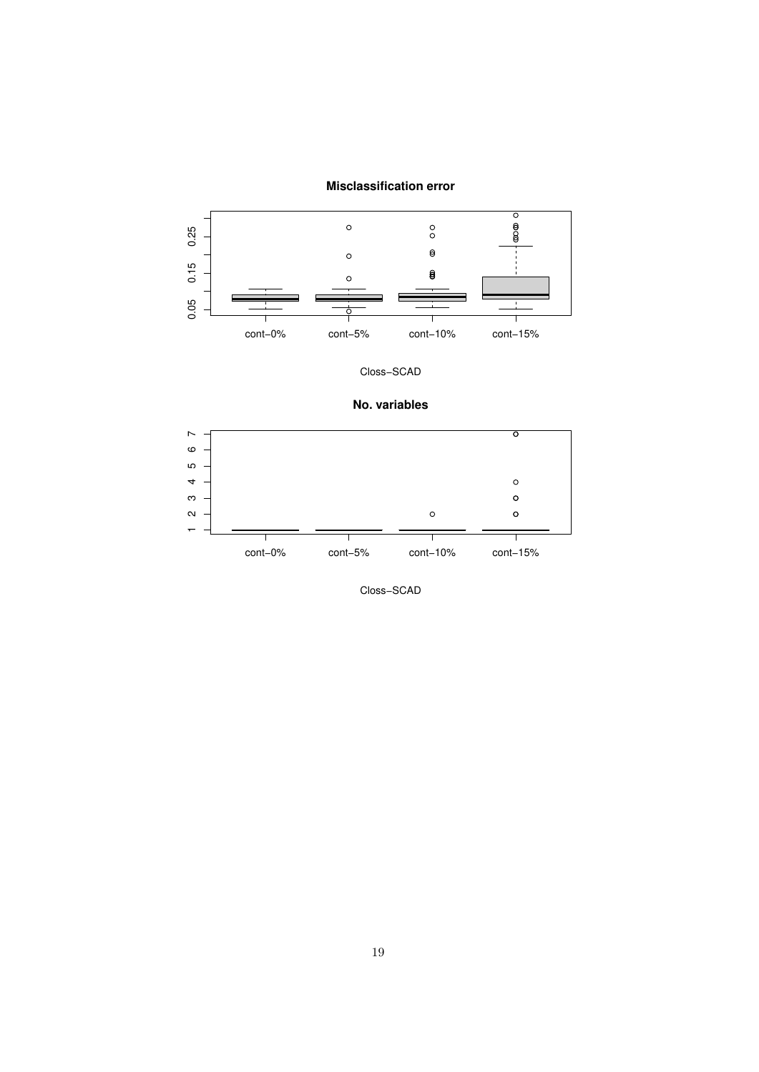

Closs−SCAD





Closs−SCAD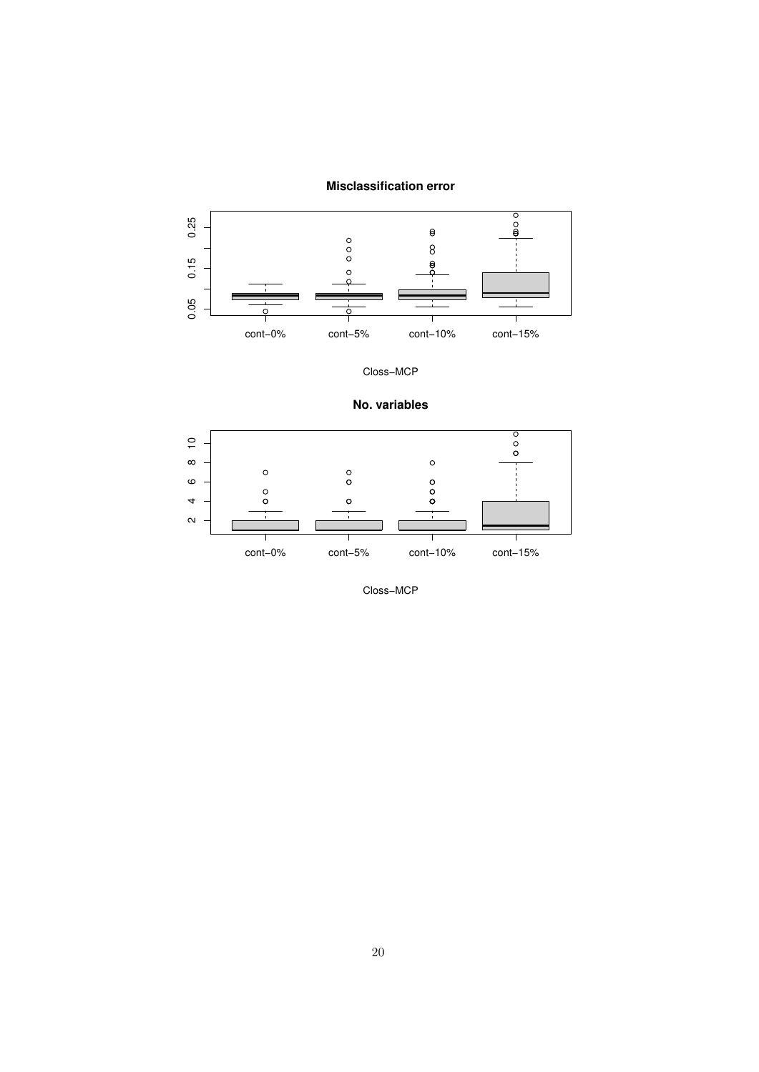

Closs−MCP





Closs−MCP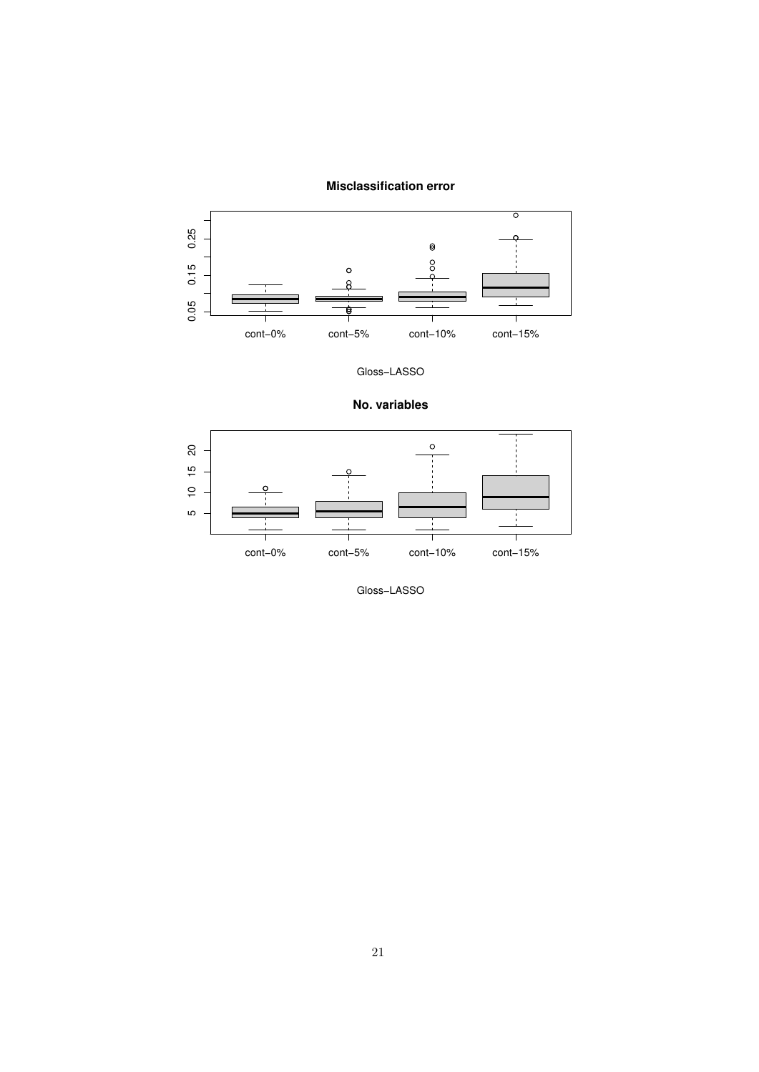

Gloss−LASSO





Gloss−LASSO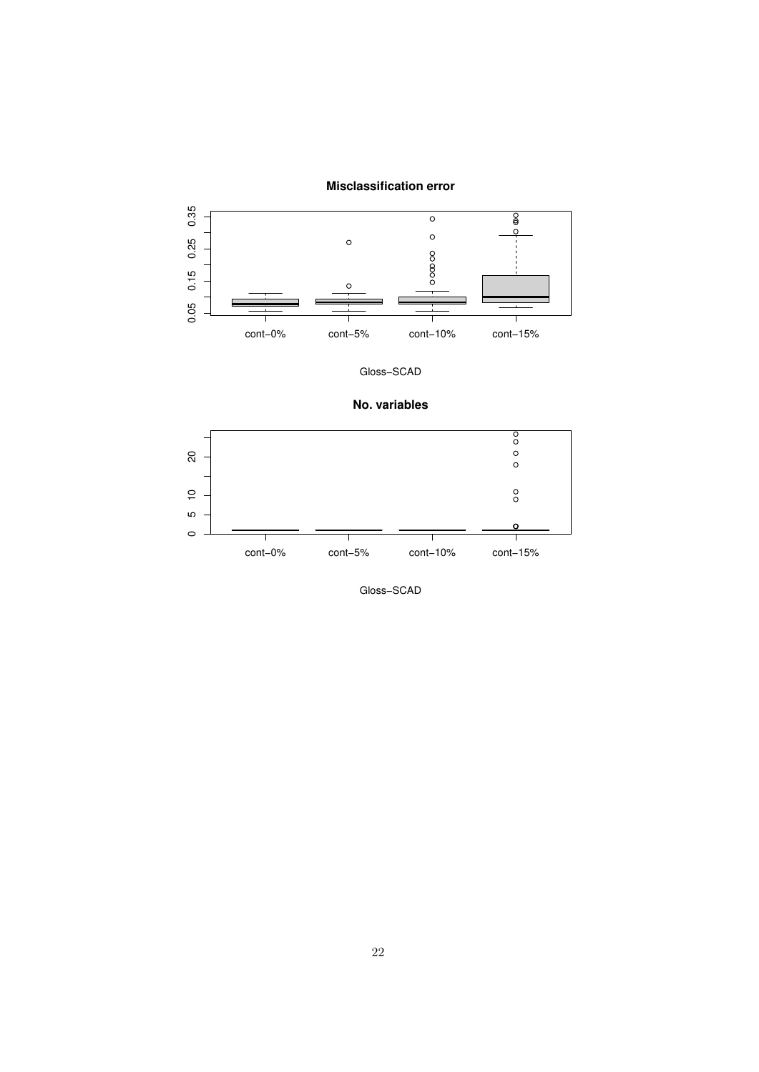

Gloss−SCAD





Gloss−SCAD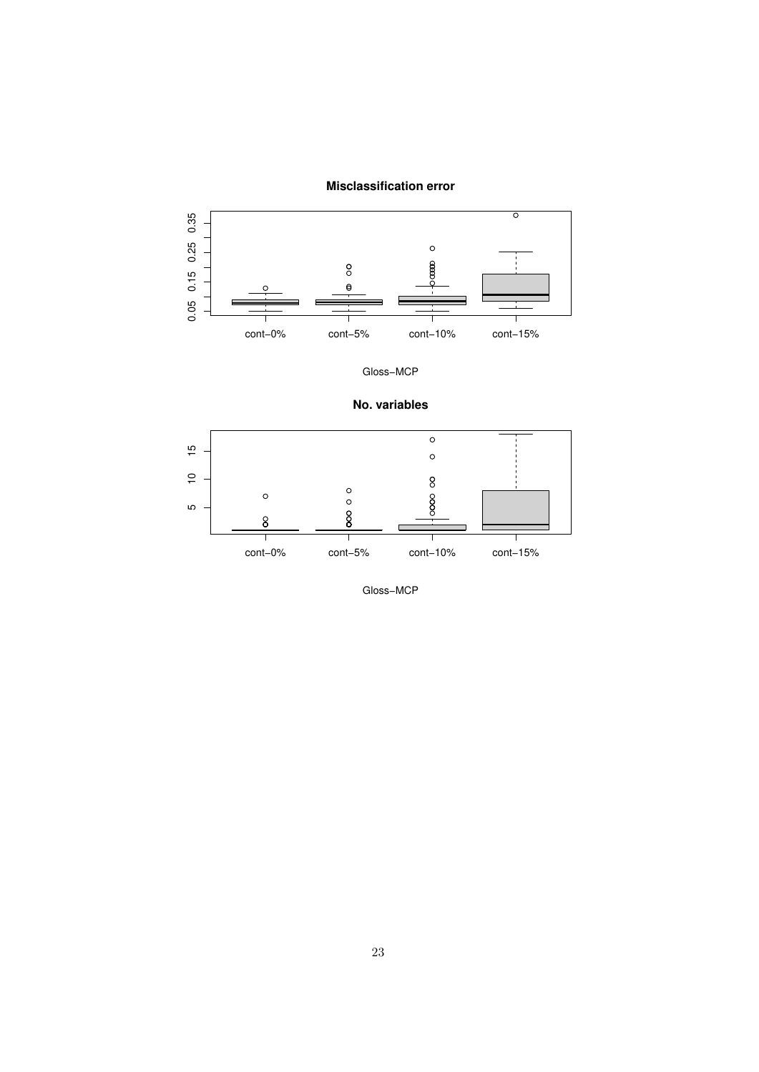

Gloss−MCP





Gloss−MCP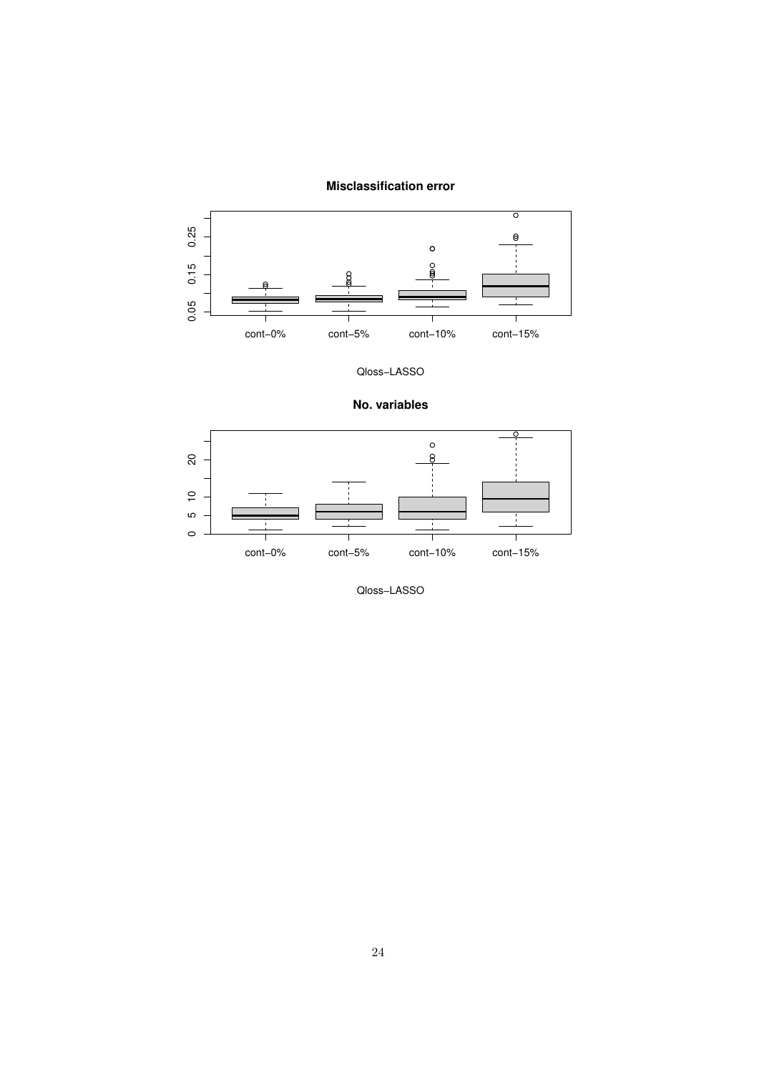

Qloss−LASSO





Qloss−LASSO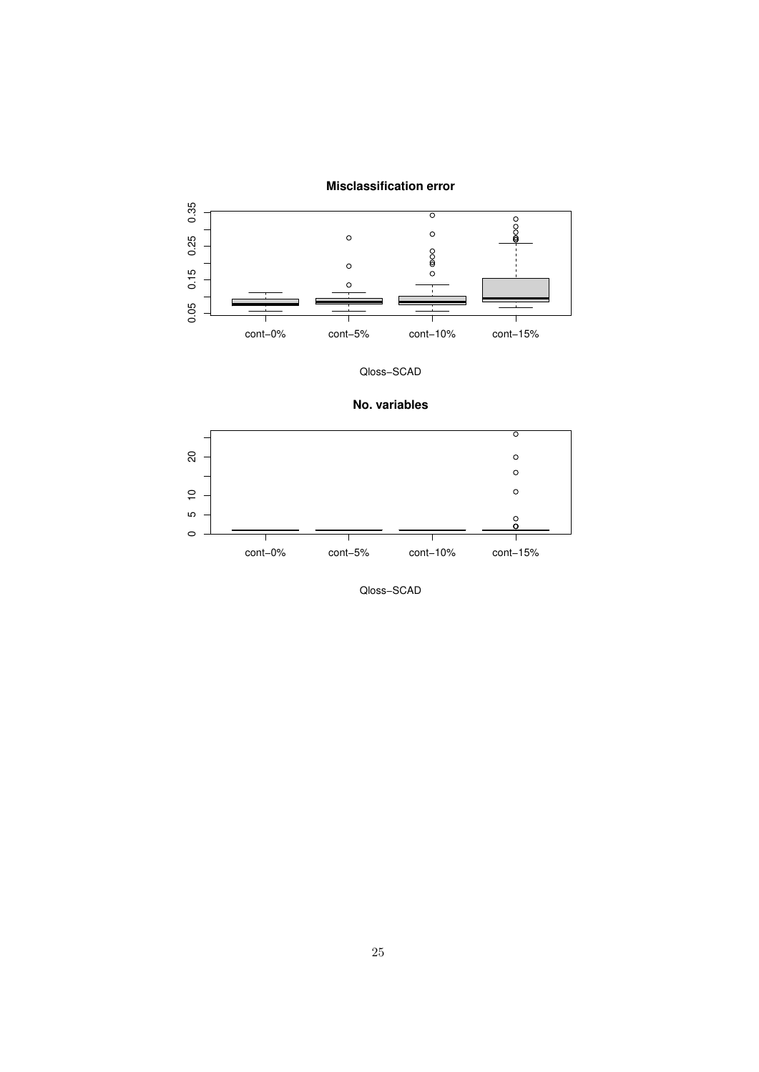

Qloss−SCAD





Qloss−SCAD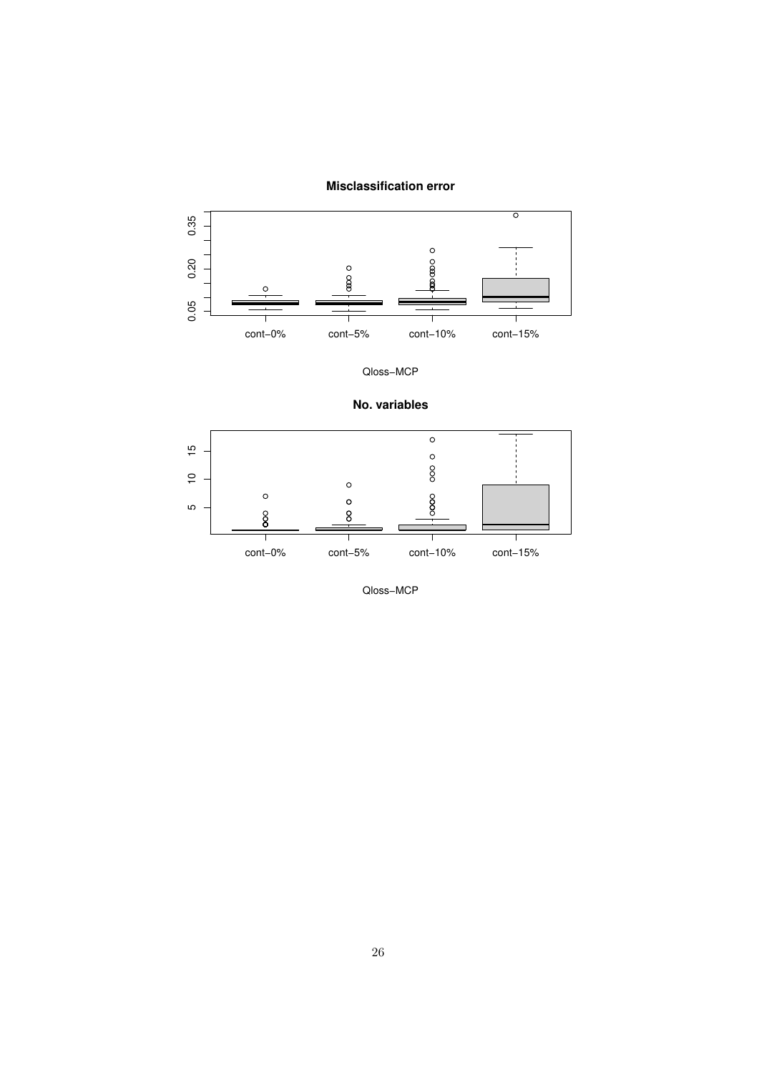

Qloss−MCP





Qloss−MCP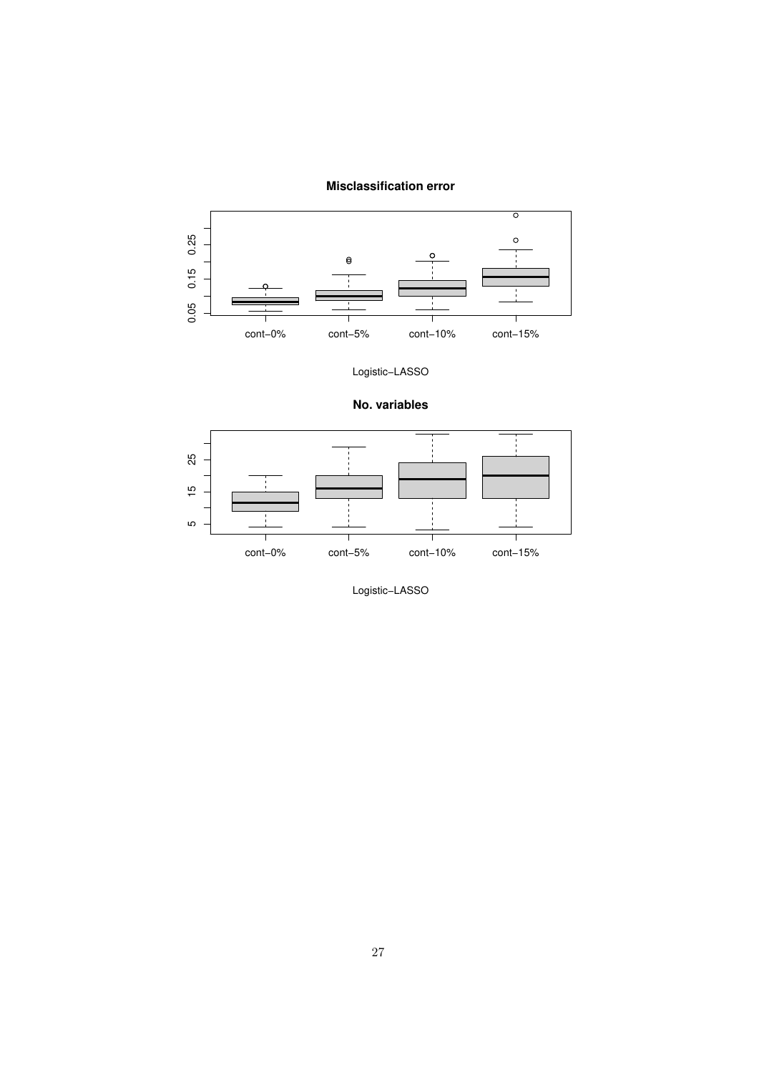







Logistic−LASSO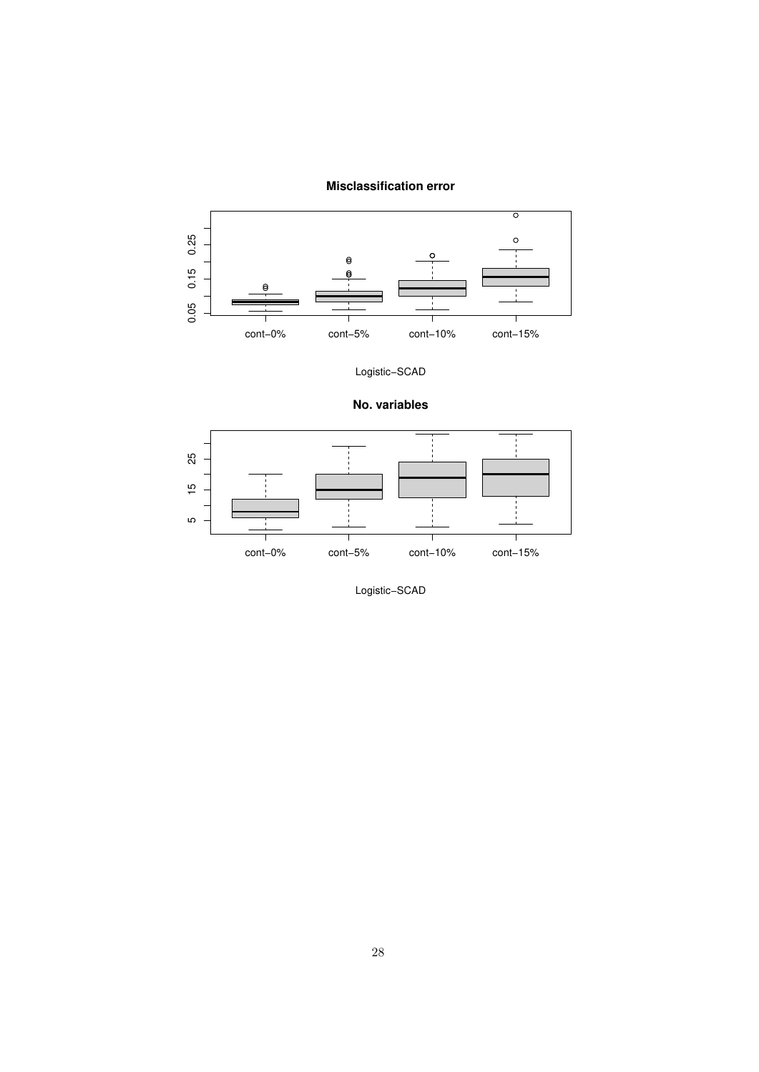

Logistic−SCAD





Logistic−SCAD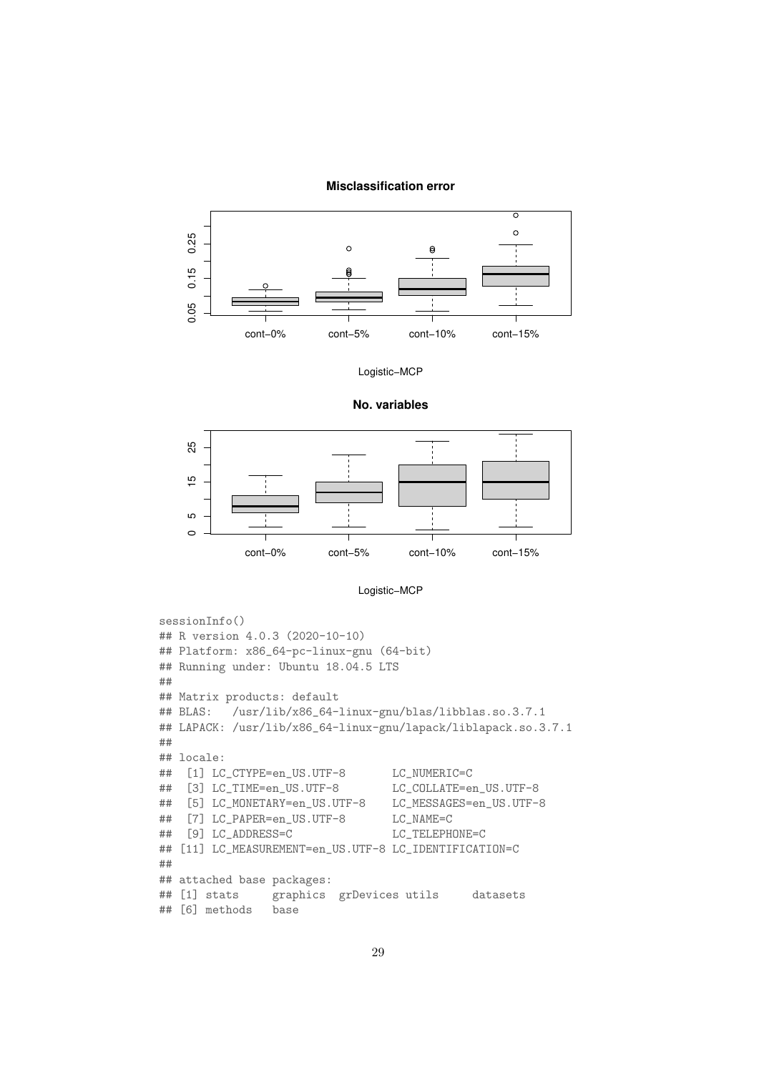







```
Logistic−MCP
```

```
sessionInfo()
## R version 4.0.3 (2020-10-10)
## Platform: x86_64-pc-linux-gnu (64-bit)
## Running under: Ubuntu 18.04.5 LTS
##
## Matrix products: default
## BLAS: /usr/lib/x86_64-linux-gnu/blas/libblas.so.3.7.1
## LAPACK: /usr/lib/x86_64-linux-gnu/lapack/liblapack.so.3.7.1
##
## locale:
## [1] LC_CTYPE=en_US.UTF-8 LC_NUMERIC=C
## [3] LC_TIME=en_US.UTF-8 LC_COLLATE=en_US.UTF-8
## [5] LC_MONETARY=en_US.UTF-8 LC_MESSAGES=en_US.UTF-8
## [7] LC_PAPER=en_US.UTF-8 LC_NAME=C
## [9] LC_ADDRESS=C LC_TELEPHONE=C
## [11] LC_MEASUREMENT=en_US.UTF-8 LC_IDENTIFICATION=C
##
## attached base packages:
## [1] stats graphics grDevices utils datasets
## [6] methods base
```